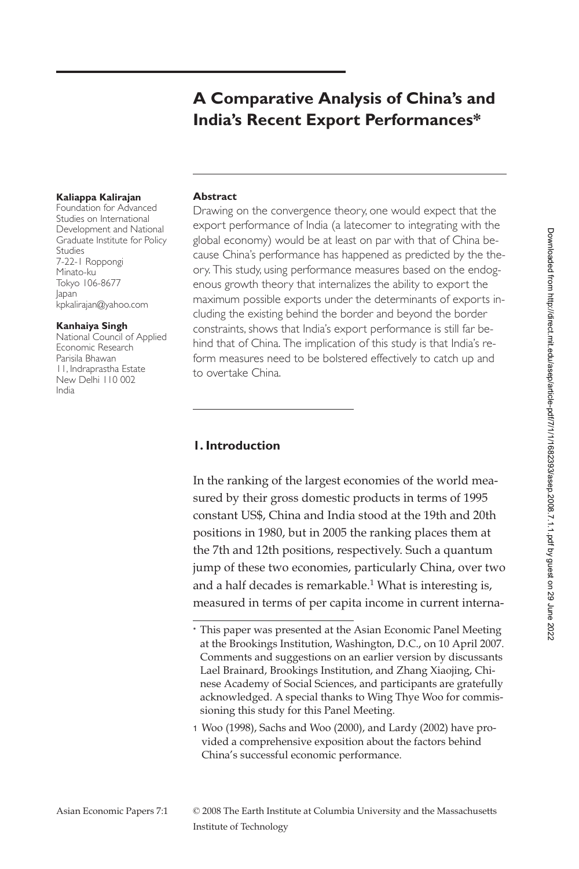# **A Comparative Analysis of China's and India's Recent Export Performances\***

#### **Kaliappa Kalirajan**

Foundation for Advanced Studies on International Development and National Graduate Institute for Policy Studies 7-22-1 Roppongi Minato-ku Tokyo 106-8677 Japan kpkalirajan@yahoo.com

#### **Kanhaiya Singh**

National Council of Applied Economic Research Parisila Bhawan 11, Indraprastha Estate New Delhi 110 002 India

#### **Abstract**

Drawing on the convergence theory, one would expect that the export performance of India (a latecomer to integrating with the global economy) would be at least on par with that of China because China's performance has happened as predicted by the theory. This study, using performance measures based on the endogenous growth theory that internalizes the ability to export the maximum possible exports under the determinants of exports including the existing behind the border and beyond the border constraints, shows that India's export performance is still far behind that of China. The implication of this study is that India's reform measures need to be bolstered effectively to catch up and to overtake China.

#### **1. Introduction**

In the ranking of the largest economies of the world measured by their gross domestic products in terms of 1995 constant US\$, China and India stood at the 19th and 20th positions in 1980, but in 2005 the ranking places them at the 7th and 12th positions, respectively. Such a quantum jump of these two economies, particularly China, over two and a half decades is remarkable.<sup>1</sup> What is interesting is, measured in terms of per capita income in current interna-

<sup>\*</sup> This paper was presented at the Asian Economic Panel Meeting at the Brookings Institution, Washington, D.C., on 10 April 2007. Comments and suggestions on an earlier version by discussants Lael Brainard, Brookings Institution, and Zhang Xiaojing, Chinese Academy of Social Sciences, and participants are gratefully acknowledged. A special thanks to Wing Thye Woo for commissioning this study for this Panel Meeting.

<sup>1</sup> Woo (1998), Sachs and Woo (2000), and Lardy (2002) have provided a comprehensive exposition about the factors behind China's successful economic performance.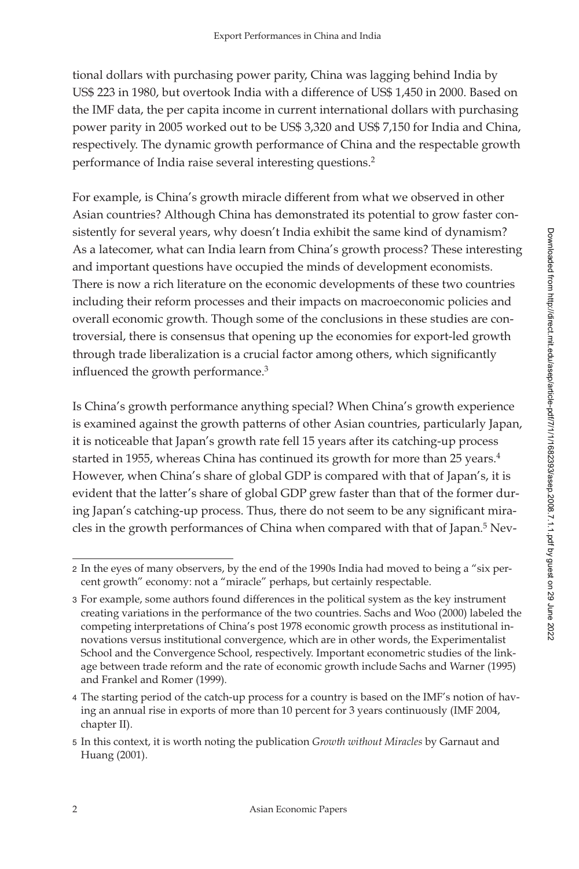tional dollars with purchasing power parity, China was lagging behind India by US\$ 223 in 1980, but overtook India with a difference of US\$ 1,450 in 2000. Based on the IMF data, the per capita income in current international dollars with purchasing power parity in 2005 worked out to be US\$ 3,320 and US\$ 7,150 for India and China, respectively. The dynamic growth performance of China and the respectable growth performance of India raise several interesting questions.2

For example, is China's growth miracle different from what we observed in other Asian countries? Although China has demonstrated its potential to grow faster consistently for several years, why doesn't India exhibit the same kind of dynamism? As a latecomer, what can India learn from China's growth process? These interesting and important questions have occupied the minds of development economists. There is now a rich literature on the economic developments of these two countries including their reform processes and their impacts on macroeconomic policies and overall economic growth. Though some of the conclusions in these studies are controversial, there is consensus that opening up the economies for export-led growth through trade liberalization is a crucial factor among others, which significantly influenced the growth performance.<sup>3</sup>

Is China's growth performance anything special? When China's growth experience is examined against the growth patterns of other Asian countries, particularly Japan, it is noticeable that Japan's growth rate fell 15 years after its catching-up process started in 1955, whereas China has continued its growth for more than 25 years.<sup>4</sup> However, when China's share of global GDP is compared with that of Japan's, it is evident that the latter's share of global GDP grew faster than that of the former during Japan's catching-up process. Thus, there do not seem to be any significant miracles in the growth performances of China when compared with that of Japan.<sup>5</sup> Nev-

<sup>2</sup> In the eyes of many observers, by the end of the 1990s India had moved to being a "six percent growth" economy: not a "miracle" perhaps, but certainly respectable.

<sup>3</sup> For example, some authors found differences in the political system as the key instrument creating variations in the performance of the two countries. Sachs and Woo (2000) labeled the competing interpretations of China's post 1978 economic growth process as institutional innovations versus institutional convergence, which are in other words, the Experimentalist School and the Convergence School, respectively. Important econometric studies of the linkage between trade reform and the rate of economic growth include Sachs and Warner (1995) and Frankel and Romer (1999).

<sup>4</sup> The starting period of the catch-up process for a country is based on the IMF's notion of having an annual rise in exports of more than 10 percent for 3 years continuously (IMF 2004, chapter II).

<sup>5</sup> In this context, it is worth noting the publication *Growth without Miracles* by Garnaut and Huang (2001).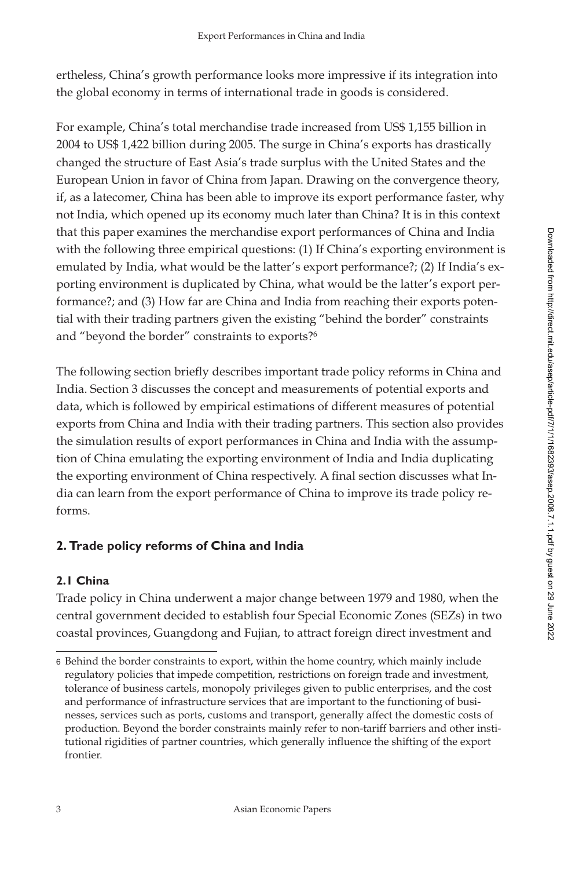ertheless, China's growth performance looks more impressive if its integration into the global economy in terms of international trade in goods is considered.

For example, China's total merchandise trade increased from US\$ 1,155 billion in 2004 to US\$ 1,422 billion during 2005. The surge in China's exports has drastically changed the structure of East Asia's trade surplus with the United States and the European Union in favor of China from Japan. Drawing on the convergence theory, if, as a latecomer, China has been able to improve its export performance faster, why not India, which opened up its economy much later than China? It is in this context that this paper examines the merchandise export performances of China and India with the following three empirical questions: (1) If China's exporting environment is emulated by India, what would be the latter's export performance?; (2) If India's exporting environment is duplicated by China, what would be the latter's export performance?; and (3) How far are China and India from reaching their exports potential with their trading partners given the existing "behind the border" constraints and "beyond the border" constraints to exports?<sup>6</sup>

The following section briefly describes important trade policy reforms in China and India. Section 3 discusses the concept and measurements of potential exports and data, which is followed by empirical estimations of different measures of potential exports from China and India with their trading partners. This section also provides the simulation results of export performances in China and India with the assumption of China emulating the exporting environment of India and India duplicating the exporting environment of China respectively. A final section discusses what India can learn from the export performance of China to improve its trade policy reforms.

# **2. Trade policy reforms of China and India**

# **2.1 China**

Trade policy in China underwent a major change between 1979 and 1980, when the central government decided to establish four Special Economic Zones (SEZs) in two coastal provinces, Guangdong and Fujian, to attract foreign direct investment and

<sup>6</sup> Behind the border constraints to export, within the home country, which mainly include regulatory policies that impede competition, restrictions on foreign trade and investment, tolerance of business cartels, monopoly privileges given to public enterprises, and the cost and performance of infrastructure services that are important to the functioning of businesses, services such as ports, customs and transport, generally affect the domestic costs of production. Beyond the border constraints mainly refer to non-tariff barriers and other institutional rigidities of partner countries, which generally influence the shifting of the export frontier.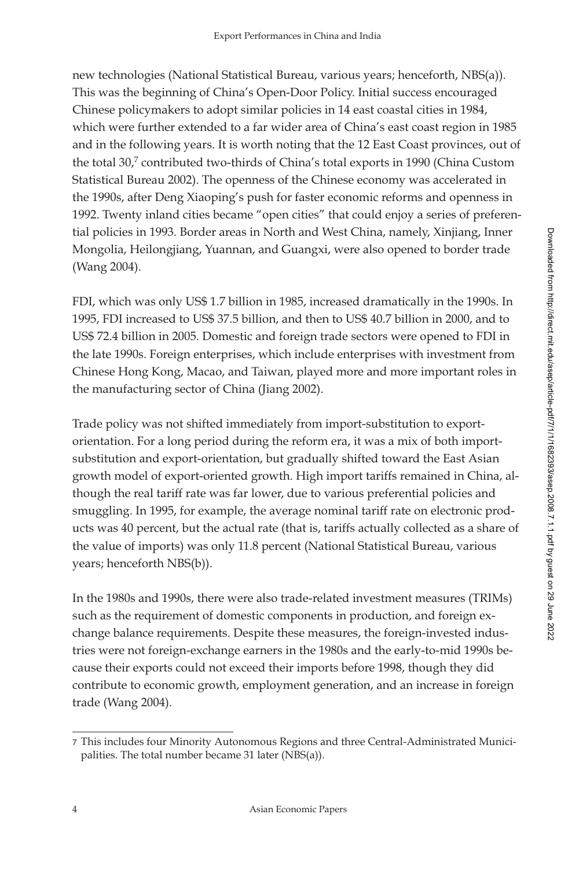new technologies (National Statistical Bureau, various years; henceforth, NBS(a)). This was the beginning of China's Open-Door Policy. Initial success encouraged Chinese policymakers to adopt similar policies in 14 east coastal cities in 1984, which were further extended to a far wider area of China's east coast region in 1985 and in the following years. It is worth noting that the 12 East Coast provinces, out of the total 30,<sup>7</sup> contributed two-thirds of China's total exports in 1990 (China Custom Statistical Bureau 2002). The openness of the Chinese economy was accelerated in the 1990s, after Deng Xiaoping's push for faster economic reforms and openness in 1992. Twenty inland cities became "open cities" that could enjoy a series of preferential policies in 1993. Border areas in North and West China, namely, Xinjiang, Inner Mongolia, Heilongjiang, Yuannan, and Guangxi, were also opened to border trade (Wang 2004).

FDI, which was only US\$ 1.7 billion in 1985, increased dramatically in the 1990s. In 1995, FDI increased to US\$ 37.5 billion, and then to US\$ 40.7 billion in 2000, and to US\$ 72.4 billion in 2005. Domestic and foreign trade sectors were opened to FDI in the late 1990s. Foreign enterprises, which include enterprises with investment from Chinese Hong Kong, Macao, and Taiwan, played more and more important roles in the manufacturing sector of China (Jiang 2002).

Trade policy was not shifted immediately from import-substitution to exportorientation. For a long period during the reform era, it was a mix of both importsubstitution and export-orientation, but gradually shifted toward the East Asian growth model of export-oriented growth. High import tariffs remained in China, although the real tariff rate was far lower, due to various preferential policies and smuggling. In 1995, for example, the average nominal tariff rate on electronic products was 40 percent, but the actual rate (that is, tariffs actually collected as a share of the value of imports) was only 11.8 percent (National Statistical Bureau, various years; henceforth NBS(b)).

In the 1980s and 1990s, there were also trade-related investment measures (TRIMs) such as the requirement of domestic components in production, and foreign exchange balance requirements. Despite these measures, the foreign-invested industries were not foreign-exchange earners in the 1980s and the early-to-mid 1990s because their exports could not exceed their imports before 1998, though they did contribute to economic growth, employment generation, and an increase in foreign trade (Wang 2004).

<sup>7</sup> This includes four Minority Autonomous Regions and three Central-Administrated Municipalities. The total number became 31 later (NBS(a)).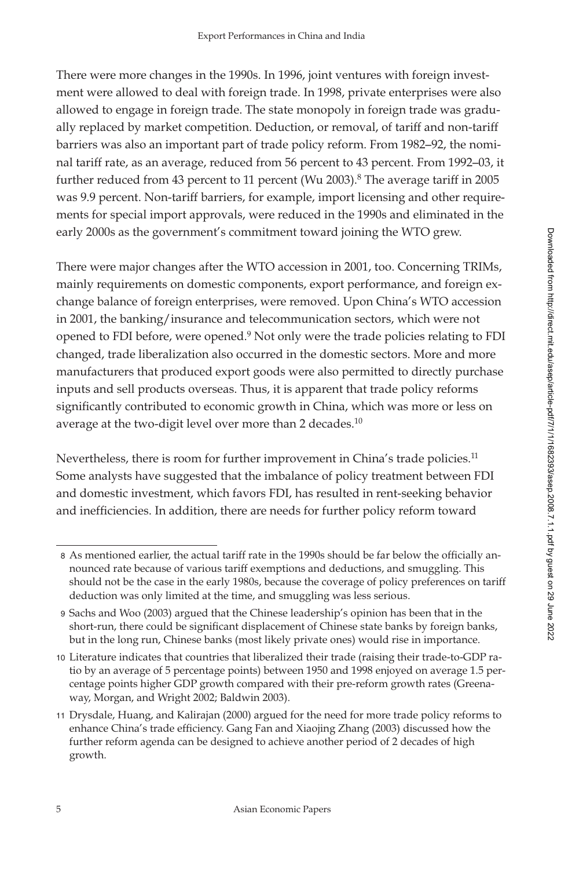There were more changes in the 1990s. In 1996, joint ventures with foreign investment were allowed to deal with foreign trade. In 1998, private enterprises were also allowed to engage in foreign trade. The state monopoly in foreign trade was gradually replaced by market competition. Deduction, or removal, of tariff and non-tariff barriers was also an important part of trade policy reform. From 1982–92, the nominal tariff rate, as an average, reduced from 56 percent to 43 percent. From 1992–03, it further reduced from 43 percent to 11 percent (Wu 2003).<sup>8</sup> The average tariff in 2005 was 9.9 percent. Non-tariff barriers, for example, import licensing and other requirements for special import approvals, were reduced in the 1990s and eliminated in the early 2000s as the government's commitment toward joining the WTO grew.

There were major changes after the WTO accession in 2001, too. Concerning TRIMs, mainly requirements on domestic components, export performance, and foreign exchange balance of foreign enterprises, were removed. Upon China's WTO accession in 2001, the banking/insurance and telecommunication sectors, which were not opened to FDI before, were opened.<sup>9</sup> Not only were the trade policies relating to FDI changed, trade liberalization also occurred in the domestic sectors. More and more manufacturers that produced export goods were also permitted to directly purchase inputs and sell products overseas. Thus, it is apparent that trade policy reforms significantly contributed to economic growth in China, which was more or less on average at the two-digit level over more than 2 decades.<sup>10</sup>

Nevertheless, there is room for further improvement in China's trade policies.<sup>11</sup> Some analysts have suggested that the imbalance of policy treatment between FDI and domestic investment, which favors FDI, has resulted in rent-seeking behavior and inefficiencies. In addition, there are needs for further policy reform toward

<sup>8</sup> As mentioned earlier, the actual tariff rate in the 1990s should be far below the officially announced rate because of various tariff exemptions and deductions, and smuggling. This should not be the case in the early 1980s, because the coverage of policy preferences on tariff deduction was only limited at the time, and smuggling was less serious.

<sup>9</sup> Sachs and Woo (2003) argued that the Chinese leadership's opinion has been that in the short-run, there could be significant displacement of Chinese state banks by foreign banks, but in the long run, Chinese banks (most likely private ones) would rise in importance.

<sup>10</sup> Literature indicates that countries that liberalized their trade (raising their trade-to-GDP ratio by an average of 5 percentage points) between 1950 and 1998 enjoyed on average 1.5 percentage points higher GDP growth compared with their pre-reform growth rates (Greenaway, Morgan, and Wright 2002; Baldwin 2003).

<sup>11</sup> Drysdale, Huang, and Kalirajan (2000) argued for the need for more trade policy reforms to enhance China's trade efficiency. Gang Fan and Xiaojing Zhang (2003) discussed how the further reform agenda can be designed to achieve another period of 2 decades of high growth.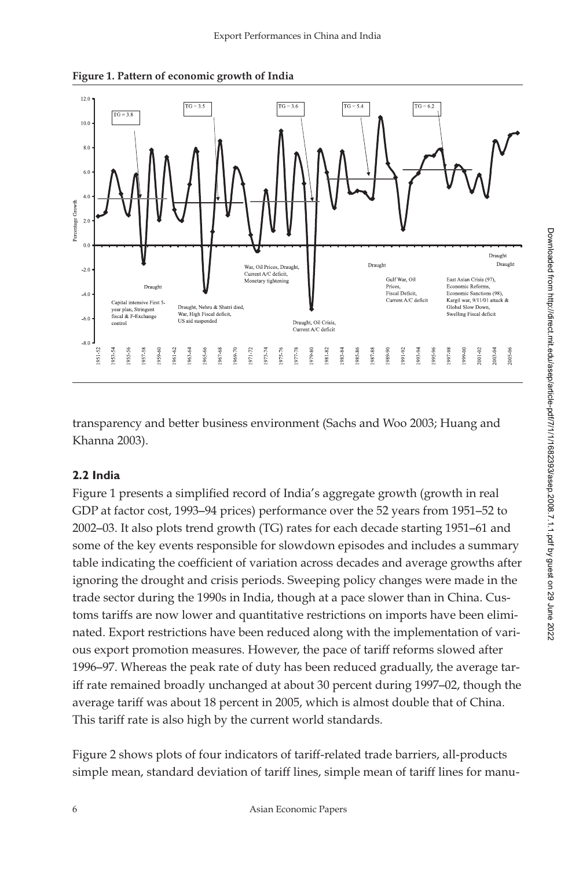

**Figure 1. Pattern of economic growth of India**

transparency and better business environment (Sachs and Woo 2003; Huang and Khanna 2003).

#### **2.2 India**

Figure 1 presents a simplified record of India's aggregate growth (growth in real GDP at factor cost, 1993–94 prices) performance over the 52 years from 1951–52 to 2002–03. It also plots trend growth (TG) rates for each decade starting 1951–61 and some of the key events responsible for slowdown episodes and includes a summary table indicating the coefficient of variation across decades and average growths after ignoring the drought and crisis periods. Sweeping policy changes were made in the trade sector during the 1990s in India, though at a pace slower than in China. Customs tariffs are now lower and quantitative restrictions on imports have been eliminated. Export restrictions have been reduced along with the implementation of various export promotion measures. However, the pace of tariff reforms slowed after 1996–97. Whereas the peak rate of duty has been reduced gradually, the average tariff rate remained broadly unchanged at about 30 percent during 1997–02, though the average tariff was about 18 percent in 2005, which is almost double that of China. This tariff rate is also high by the current world standards.

Figure 2 shows plots of four indicators of tariff-related trade barriers, all-products simple mean, standard deviation of tariff lines, simple mean of tariff lines for manu-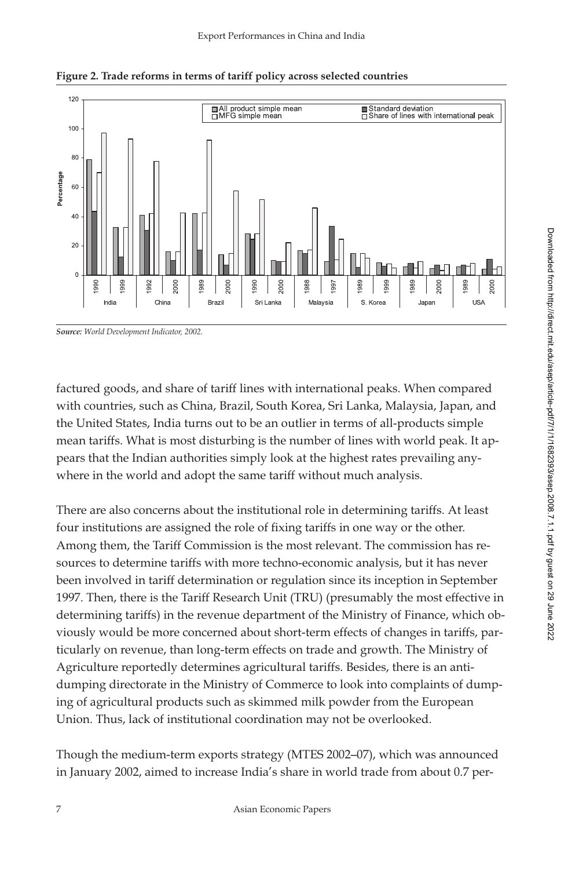

**Figure 2. Trade reforms in terms of tariff policy across selected countries**

*Source: World Development Indicator, 2002.*

factured goods, and share of tariff lines with international peaks. When compared with countries, such as China, Brazil, South Korea, Sri Lanka, Malaysia, Japan, and the United States, India turns out to be an outlier in terms of all-products simple mean tariffs. What is most disturbing is the number of lines with world peak. It appears that the Indian authorities simply look at the highest rates prevailing anywhere in the world and adopt the same tariff without much analysis.

There are also concerns about the institutional role in determining tariffs. At least four institutions are assigned the role of fixing tariffs in one way or the other. Among them, the Tariff Commission is the most relevant. The commission has resources to determine tariffs with more techno-economic analysis, but it has never been involved in tariff determination or regulation since its inception in September 1997. Then, there is the Tariff Research Unit (TRU) (presumably the most effective in determining tariffs) in the revenue department of the Ministry of Finance, which obviously would be more concerned about short-term effects of changes in tariffs, particularly on revenue, than long-term effects on trade and growth. The Ministry of Agriculture reportedly determines agricultural tariffs. Besides, there is an antidumping directorate in the Ministry of Commerce to look into complaints of dumping of agricultural products such as skimmed milk powder from the European Union. Thus, lack of institutional coordination may not be overlooked.

Though the medium-term exports strategy (MTES 2002–07), which was announced in January 2002, aimed to increase India's share in world trade from about 0.7 per-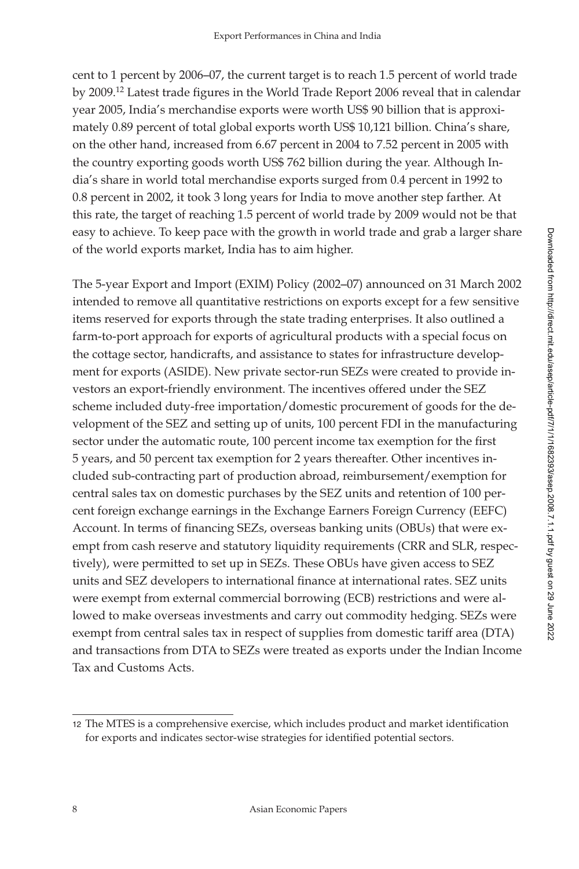cent to 1 percent by 2006–07, the current target is to reach 1.5 percent of world trade by 2009.<sup>12</sup> Latest trade figures in the World Trade Report 2006 reveal that in calendar year 2005, India's merchandise exports were worth US\$ 90 billion that is approximately 0.89 percent of total global exports worth US\$ 10,121 billion. China's share, on the other hand, increased from 6.67 percent in 2004 to 7.52 percent in 2005 with the country exporting goods worth US\$ 762 billion during the year. Although India's share in world total merchandise exports surged from 0.4 percent in 1992 to 0.8 percent in 2002, it took 3 long years for India to move another step farther. At this rate, the target of reaching 1.5 percent of world trade by 2009 would not be that easy to achieve. To keep pace with the growth in world trade and grab a larger share of the world exports market, India has to aim higher.

The 5-year Export and Import (EXIM) Policy (2002–07) announced on 31 March 2002 intended to remove all quantitative restrictions on exports except for a few sensitive items reserved for exports through the state trading enterprises. It also outlined a farm-to-port approach for exports of agricultural products with a special focus on the cottage sector, handicrafts, and assistance to states for infrastructure development for exports (ASIDE). New private sector-run SEZs were created to provide investors an export-friendly environment. The incentives offered under the SEZ scheme included duty-free importation/domestic procurement of goods for the development of the SEZ and setting up of units, 100 percent FDI in the manufacturing sector under the automatic route, 100 percent income tax exemption for the first 5 years, and 50 percent tax exemption for 2 years thereafter. Other incentives included sub-contracting part of production abroad, reimbursement/exemption for central sales tax on domestic purchases by the SEZ units and retention of 100 percent foreign exchange earnings in the Exchange Earners Foreign Currency (EEFC) Account. In terms of financing SEZs, overseas banking units (OBUs) that were exempt from cash reserve and statutory liquidity requirements (CRR and SLR, respectively), were permitted to set up in SEZs. These OBUs have given access to SEZ units and SEZ developers to international finance at international rates. SEZ units were exempt from external commercial borrowing (ECB) restrictions and were allowed to make overseas investments and carry out commodity hedging. SEZs were exempt from central sales tax in respect of supplies from domestic tariff area (DTA) and transactions from DTA to SEZs were treated as exports under the Indian Income Tax and Customs Acts.

<sup>12</sup> The MTES is a comprehensive exercise, which includes product and market identification for exports and indicates sector-wise strategies for identified potential sectors.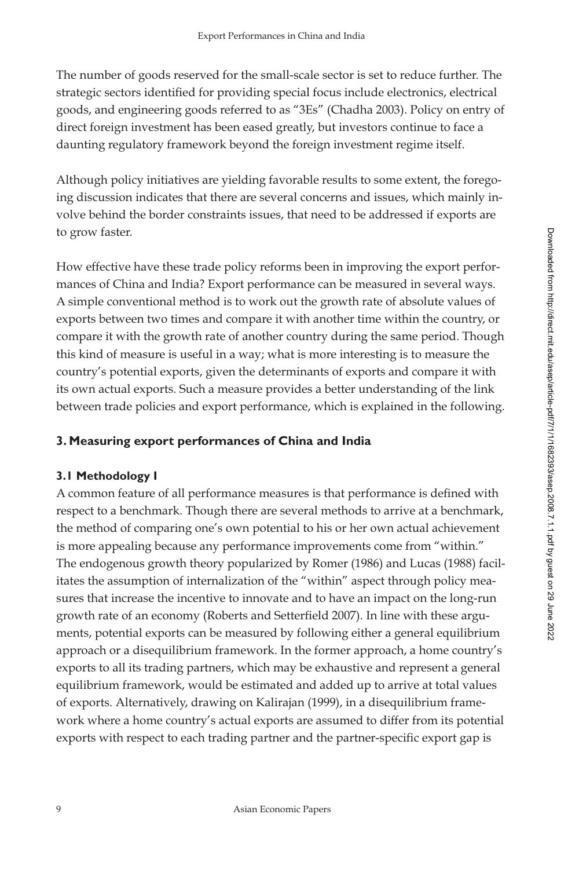The number of goods reserved for the small-scale sector is set to reduce further. The strategic sectors identified for providing special focus include electronics, electrical goods, and engineering goods referred to as "3Es" (Chadha 2003). Policy on entry of direct foreign investment has been eased greatly, but investors continue to face a daunting regulatory framework beyond the foreign investment regime itself.

Although policy initiatives are yielding favorable results to some extent, the foregoing discussion indicates that there are several concerns and issues, which mainly involve behind the border constraints issues, that need to be addressed if exports are to grow faster.

How effective have these trade policy reforms been in improving the export performances of China and India? Export performance can be measured in several ways. A simple conventional method is to work out the growth rate of absolute values of exports between two times and compare it with another time within the country, or compare it with the growth rate of another country during the same period. Though this kind of measure is useful in a way; what is more interesting is to measure the country's potential exports, given the determinants of exports and compare it with its own actual exports. Such a measure provides a better understanding of the link between trade policies and export performance, which is explained in the following.

# **3. Measuring export performances of China and India**

# **3.1 Methodology I**

A common feature of all performance measures is that performance is defined with respect to a benchmark. Though there are several methods to arrive at a benchmark, the method of comparing one's own potential to his or her own actual achievement is more appealing because any performance improvements come from "within." The endogenous growth theory popularized by Romer (1986) and Lucas (1988) facilitates the assumption of internalization of the "within" aspect through policy measures that increase the incentive to innovate and to have an impact on the long-run growth rate of an economy (Roberts and Setterfield 2007). In line with these arguments, potential exports can be measured by following either a general equilibrium approach or a disequilibrium framework. In the former approach, a home country's exports to all its trading partners, which may be exhaustive and represent a general equilibrium framework, would be estimated and added up to arrive at total values of exports. Alternatively, drawing on Kalirajan (1999), in a disequilibrium framework where a home country's actual exports are assumed to differ from its potential exports with respect to each trading partner and the partner-specific export gap is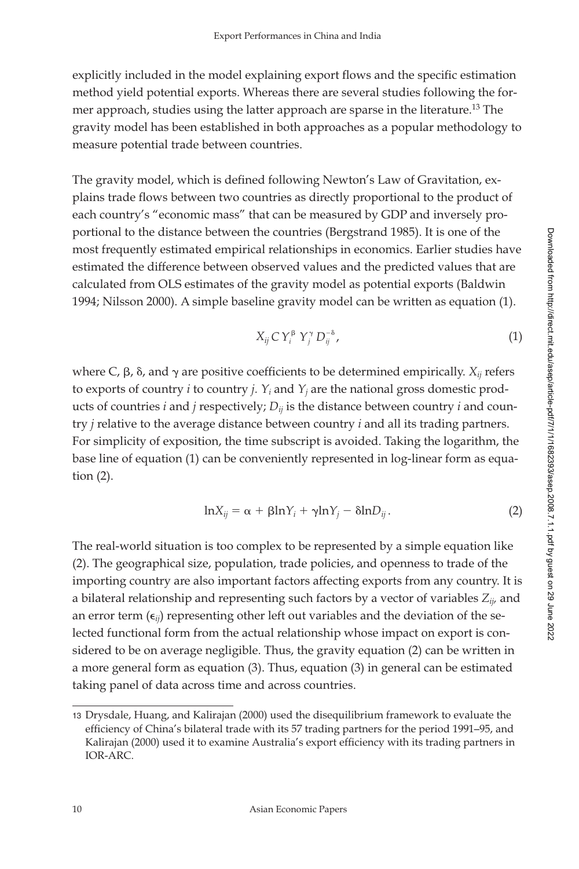explicitly included in the model explaining export flows and the specific estimation method yield potential exports. Whereas there are several studies following the former approach, studies using the latter approach are sparse in the literature.<sup>13</sup> The gravity model has been established in both approaches as a popular methodology to measure potential trade between countries.

The gravity model, which is defined following Newton's Law of Gravitation, explains trade flows between two countries as directly proportional to the product of each country's "economic mass" that can be measured by GDP and inversely proportional to the distance between the countries (Bergstrand 1985). It is one of the most frequently estimated empirical relationships in economics. Earlier studies have estimated the difference between observed values and the predicted values that are calculated from OLS estimates of the gravity model as potential exports (Baldwin 1994; Nilsson 2000). A simple baseline gravity model can be written as equation (1).<br> $V_C V^{\beta} V^{\gamma} D^{-\delta}$ 

$$
X_{ij} C Y_i^{\beta} Y_j^{\gamma} D_{ij}^{-\delta}, \qquad (1)
$$

where C,  $\beta$ ,  $\delta$ , and  $\gamma$  are positive coefficients to be determined empirically.  $X_{ij}$  refers to exports of country  $i$  to country  $j$ .  $Y_i$  and  $Y_j$  are the national gross domestic products of countries *i* and *j* respectively;  $D_{ii}$  is the distance between country *i* and country *j* relative to the average distance between country *i* and all its trading partners. For simplicity of exposition, the time subscript is avoided. Taking the logarithm, the base line of equation (1) can be conveniently represented in log-linear form as equation (2).

$$
lnX_{ij} = \alpha + \beta lnY_i + \gamma lnY_j - \delta lnD_{ij}.
$$
 (2)

The real-world situation is too complex to be represented by a simple equation like (2). The geographical size, population, trade policies, and openness to trade of the importing country are also important factors affecting exports from any country. It is a bilateral relationship and representing such factors by a vector of variables *Zij,* and an error term  $(\epsilon_{ij})$  representing other left out variables and the deviation of the selected functional form from the actual relationship whose impact on export is considered to be on average negligible. Thus, the gravity equation (2) can be written in a more general form as equation (3). Thus, equation (3) in general can be estimated taking panel of data across time and across countries.

<sup>13</sup> Drysdale, Huang, and Kalirajan (2000) used the disequilibrium framework to evaluate the efficiency of China's bilateral trade with its 57 trading partners for the period 1991–95, and Kalirajan (2000) used it to examine Australia's export efficiency with its trading partners in IOR-ARC.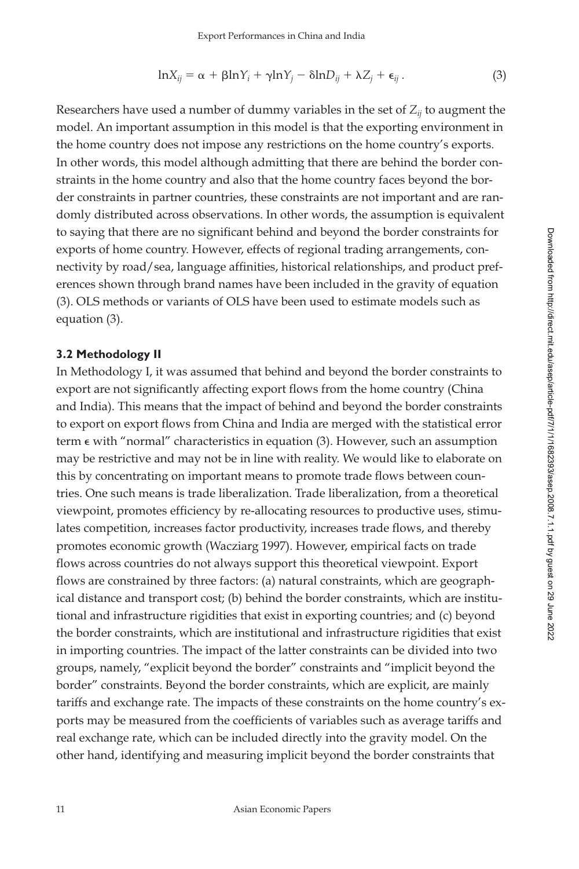$$
\ln X_{ij} = \alpha + \beta \ln Y_i + \gamma \ln Y_j - \delta \ln D_{ij} + \lambda Z_j + \epsilon_{ij}.
$$
 (3)

Researchers have used a number of dummy variables in the set of  $Z_{ii}$  to augment the model. An important assumption in this model is that the exporting environment in the home country does not impose any restrictions on the home country's exports. In other words, this model although admitting that there are behind the border constraints in the home country and also that the home country faces beyond the border constraints in partner countries, these constraints are not important and are randomly distributed across observations. In other words, the assumption is equivalent to saying that there are no significant behind and beyond the border constraints for exports of home country. However, effects of regional trading arrangements, connectivity by road/sea, language affinities, historical relationships, and product preferences shown through brand names have been included in the gravity of equation (3). OLS methods or variants of OLS have been used to estimate models such as equation (3).

#### **3.2 Methodology II**

In Methodology I, it was assumed that behind and beyond the border constraints to export are not significantly affecting export flows from the home country (China and India). This means that the impact of behind and beyond the border constraints to export on export flows from China and India are merged with the statistical error term  $\epsilon$  with "normal" characteristics in equation (3). However, such an assumption may be restrictive and may not be in line with reality. We would like to elaborate on this by concentrating on important means to promote trade flows between countries. One such means is trade liberalization. Trade liberalization, from a theoretical viewpoint, promotes efficiency by re-allocating resources to productive uses, stimulates competition, increases factor productivity, increases trade flows, and thereby promotes economic growth (Wacziarg 1997). However, empirical facts on trade flows across countries do not always support this theoretical viewpoint. Export flows are constrained by three factors: (a) natural constraints, which are geographical distance and transport cost; (b) behind the border constraints, which are institutional and infrastructure rigidities that exist in exporting countries; and (c) beyond the border constraints, which are institutional and infrastructure rigidities that exist in importing countries. The impact of the latter constraints can be divided into two groups, namely, "explicit beyond the border" constraints and "implicit beyond the border" constraints. Beyond the border constraints, which are explicit, are mainly tariffs and exchange rate. The impacts of these constraints on the home country's exports may be measured from the coefficients of variables such as average tariffs and real exchange rate, which can be included directly into the gravity model. On the other hand, identifying and measuring implicit beyond the border constraints that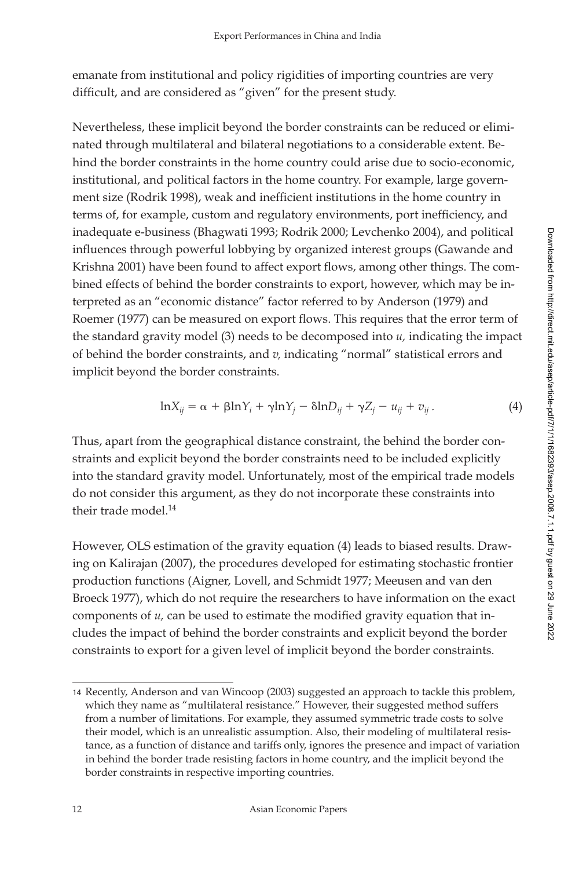emanate from institutional and policy rigidities of importing countries are very difficult, and are considered as "given" for the present study.

Nevertheless, these implicit beyond the border constraints can be reduced or eliminated through multilateral and bilateral negotiations to a considerable extent. Behind the border constraints in the home country could arise due to socio-economic, institutional, and political factors in the home country. For example, large government size (Rodrik 1998), weak and inefficient institutions in the home country in terms of, for example, custom and regulatory environments, port inefficiency, and inadequate e-business (Bhagwati 1993; Rodrik 2000; Levchenko 2004), and political influences through powerful lobbying by organized interest groups (Gawande and Krishna 2001) have been found to affect export flows, among other things. The combined effects of behind the border constraints to export, however, which may be interpreted as an "economic distance" factor referred to by Anderson (1979) and Roemer (1977) can be measured on export flows. This requires that the error term of the standard gravity model (3) needs to be decomposed into *u,* indicating the impact of behind the border constraints, and *v,* indicating "normal" statistical errors and implicit beyond the border constraints.

$$
\ln X_{ij} = \alpha + \beta \ln Y_i + \gamma \ln Y_j - \delta \ln D_{ij} + \gamma Z_j - u_{ij} + v_{ij}.
$$
 (4)

Thus, apart from the geographical distance constraint, the behind the border constraints and explicit beyond the border constraints need to be included explicitly into the standard gravity model. Unfortunately, most of the empirical trade models do not consider this argument, as they do not incorporate these constraints into their trade model.14

However, OLS estimation of the gravity equation (4) leads to biased results. Drawing on Kalirajan (2007), the procedures developed for estimating stochastic frontier production functions (Aigner, Lovell, and Schmidt 1977; Meeusen and van den Broeck 1977), which do not require the researchers to have information on the exact components of  $u$ , can be used to estimate the modified gravity equation that includes the impact of behind the border constraints and explicit beyond the border constraints to export for a given level of implicit beyond the border constraints.

<sup>14</sup> Recently, Anderson and van Wincoop (2003) suggested an approach to tackle this problem, which they name as "multilateral resistance." However, their suggested method suffers from a number of limitations. For example, they assumed symmetric trade costs to solve their model, which is an unrealistic assumption. Also, their modeling of multilateral resistance, as a function of distance and tariffs only, ignores the presence and impact of variation in behind the border trade resisting factors in home country, and the implicit beyond the border constraints in respective importing countries.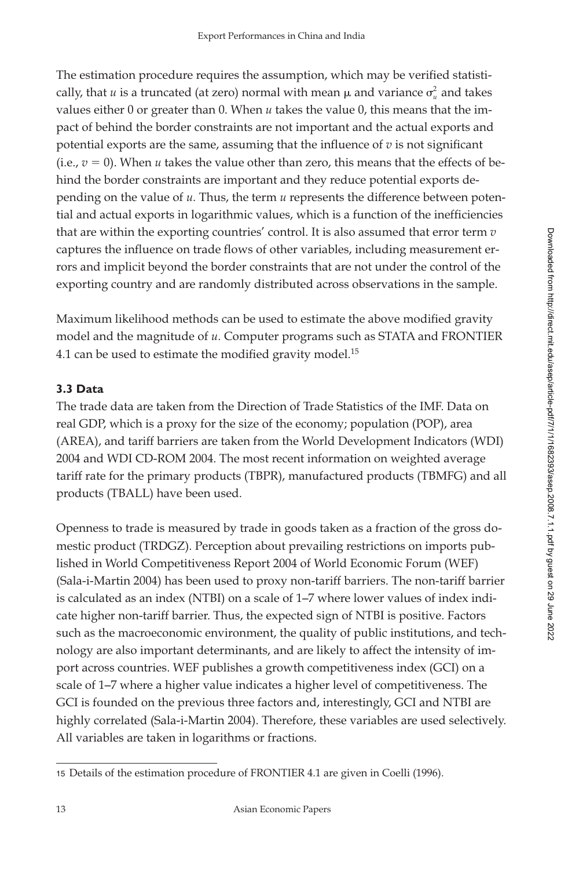The estimation procedure requires the assumption, which may be verified statistically, that  $u$  is a truncated (at zero) normal with mean  $\mu$  and variance  $\sigma^2_u$  and takes values either 0 or greater than 0. When *u* takes the value 0, this means that the impact of behind the border constraints are not important and the actual exports and potential exports are the same, assuming that the influence of  $v$  is not significant (i.e.,  $v = 0$ ). When *u* takes the value other than zero, this means that the effects of behind the border constraints are important and they reduce potential exports depending on the value of *u.* Thus, the term *u* represents the difference between potential and actual exports in logarithmic values, which is a function of the inefficiencies that are within the exporting countries' control. It is also assumed that error term *v* captures the influence on trade flows of other variables, including measurement errors and implicit beyond the border constraints that are not under the control of the exporting country and are randomly distributed across observations in the sample.

Maximum likelihood methods can be used to estimate the above modified gravity model and the magnitude of *u.* Computer programs such as STATA and FRONTIER 4.1 can be used to estimate the modified gravity model.<sup>15</sup>

# **3.3 Data**

The trade data are taken from the Direction of Trade Statistics of the IMF. Data on real GDP, which is a proxy for the size of the economy; population (POP), area (AREA), and tariff barriers are taken from the World Development Indicators (WDI) 2004 and WDI CD-ROM 2004. The most recent information on weighted average tariff rate for the primary products (TBPR), manufactured products (TBMFG) and all products (TBALL) have been used.

Openness to trade is measured by trade in goods taken as a fraction of the gross domestic product (TRDGZ). Perception about prevailing restrictions on imports published in World Competitiveness Report 2004 of World Economic Forum (WEF) (Sala-i-Martin 2004) has been used to proxy non-tariff barriers. The non-tariff barrier is calculated as an index (NTBI) on a scale of 1–7 where lower values of index indicate higher non-tariff barrier. Thus, the expected sign of NTBI is positive. Factors such as the macroeconomic environment, the quality of public institutions, and technology are also important determinants, and are likely to affect the intensity of import across countries. WEF publishes a growth competitiveness index (GCI) on a scale of 1–7 where a higher value indicates a higher level of competitiveness. The GCI is founded on the previous three factors and, interestingly, GCI and NTBI are highly correlated (Sala-i-Martin 2004). Therefore, these variables are used selectively. All variables are taken in logarithms or fractions.

<sup>15</sup> Details of the estimation procedure of FRONTIER 4.1 are given in Coelli (1996).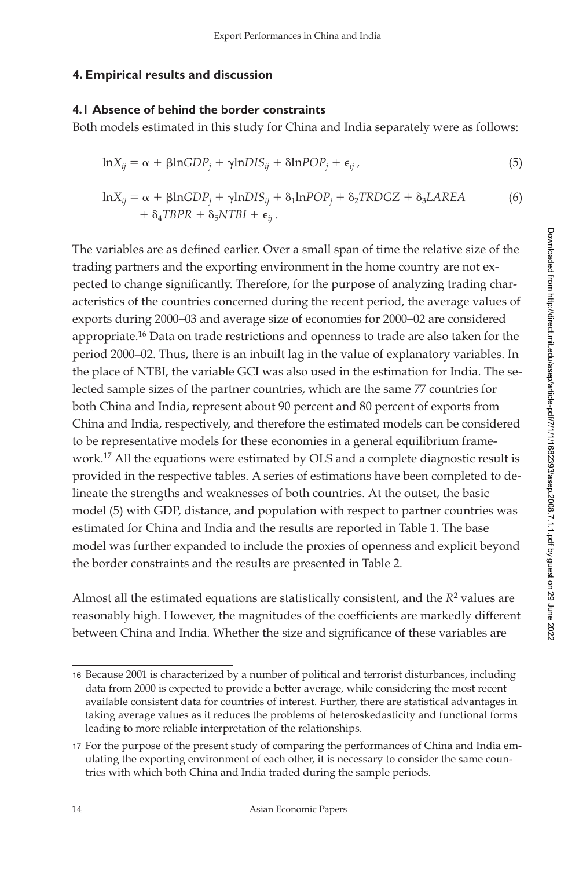## **4. Empirical results and discussion**

#### **4.1 Absence of behind the border constraints**

Both models estimated in this study for China and India separately were as follows:

$$
lnX_{ij} = \alpha + \beta lnGDP_j + \gamma lnDIS_{ij} + \delta lnPOP_j + \epsilon_{ij},
$$
\n(5)

$$
\ln X_{ij} = \alpha + \beta \ln GDP_j + \gamma \ln DIS_{ij} + \delta_1 \ln POP_j + \delta_2 TRDGZ + \delta_3 L AREA
$$
  
+  $\delta_4 TBPR + \delta_5 NTBI + \epsilon_{ij}$ . (6)

The variables are as defined earlier. Over a small span of time the relative size of the trading partners and the exporting environment in the home country are not expected to change significantly. Therefore, for the purpose of analyzing trading characteristics of the countries concerned during the recent period, the average values of exports during 2000–03 and average size of economies for 2000–02 are considered appropriate.16 Data on trade restrictions and openness to trade are also taken for the period 2000–02. Thus, there is an inbuilt lag in the value of explanatory variables. In the place of NTBI, the variable GCI was also used in the estimation for India. The selected sample sizes of the partner countries, which are the same 77 countries for both China and India, represent about 90 percent and 80 percent of exports from China and India, respectively, and therefore the estimated models can be considered to be representative models for these economies in a general equilibrium framework.17 All the equations were estimated by OLS and a complete diagnostic result is provided in the respective tables. A series of estimations have been completed to delineate the strengths and weaknesses of both countries. At the outset, the basic model (5) with GDP, distance, and population with respect to partner countries was estimated for China and India and the results are reported in Table 1. The base model was further expanded to include the proxies of openness and explicit beyond the border constraints and the results are presented in Table 2.

Almost all the estimated equations are statistically consistent, and the  $R<sup>2</sup>$  values are reasonably high. However, the magnitudes of the coefficients are markedly different between China and India. Whether the size and significance of these variables are

<sup>16</sup> Because 2001 is characterized by a number of political and terrorist disturbances, including data from 2000 is expected to provide a better average, while considering the most recent available consistent data for countries of interest. Further, there are statistical advantages in taking average values as it reduces the problems of heteroskedasticity and functional forms leading to more reliable interpretation of the relationships.

<sup>17</sup> For the purpose of the present study of comparing the performances of China and India emulating the exporting environment of each other, it is necessary to consider the same countries with which both China and India traded during the sample periods.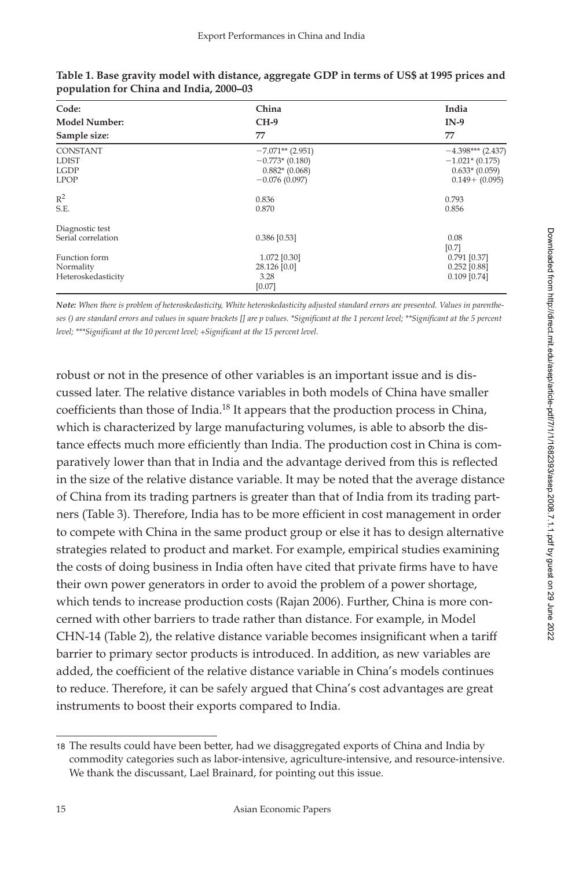| Code:                                                         | China                                                                        | India                                                                           |
|---------------------------------------------------------------|------------------------------------------------------------------------------|---------------------------------------------------------------------------------|
| <b>Model Number:</b>                                          | $CH-9$                                                                       | $IN-9$                                                                          |
| Sample size:                                                  | 77                                                                           | 77                                                                              |
| <b>CONSTANT</b><br><b>LDIST</b><br><b>LGDP</b><br><b>LPOP</b> | $-7.071**$ (2.951)<br>$-0.773*(0.180)$<br>$0.882*(0.068)$<br>$-0.076(0.097)$ | $-4.398***$ (2.437)<br>$-1.021*(0.175)$<br>$0.633*(0.059)$<br>$0.149 + (0.095)$ |
| $R^2$<br>S.E.                                                 | 0.836<br>0.870                                                               | 0.793<br>0.856                                                                  |
| Diagnostic test<br>Serial correlation<br>Function form        | 0.386 [0.53]<br>1.072 [0.30]                                                 | 0.08<br>[0.7]<br>$0.791$ [0.37]                                                 |
| Normality<br>Heteroskedasticity                               | 28.126 [0.0]<br>3.28<br>[0.07]                                               | $0.252$ [0.88]<br>$0.109$ [0.74]                                                |

| Table 1. Base gravity model with distance, aggregate GDP in terms of US\$ at 1995 prices and |  |  |
|----------------------------------------------------------------------------------------------|--|--|
| population for China and India, 2000–03                                                      |  |  |

*Note: When there is problem of heteroskedasticity, White heteroskedasticity adjusted standard errors are presented. Values in parenthe*ses () are standard errors and values in square brackets [] are p values. \*Significant at the 1 percent level; \*\*Significant at the 5 percent level; \*\*\*Significant at the 10 percent level; +Significant at the 15 percent level.

robust or not in the presence of other variables is an important issue and is discussed later. The relative distance variables in both models of China have smaller coefficients than those of India.<sup>18</sup> It appears that the production process in China, which is characterized by large manufacturing volumes, is able to absorb the distance effects much more efficiently than India. The production cost in China is comparatively lower than that in India and the advantage derived from this is reflected in the size of the relative distance variable. It may be noted that the average distance of China from its trading partners is greater than that of India from its trading partners (Table 3). Therefore, India has to be more efficient in cost management in order to compete with China in the same product group or else it has to design alternative strategies related to product and market. For example, empirical studies examining the costs of doing business in India often have cited that private firms have to have their own power generators in order to avoid the problem of a power shortage, which tends to increase production costs (Rajan 2006). Further, China is more concerned with other barriers to trade rather than distance. For example, in Model CHN-14 (Table 2), the relative distance variable becomes insignificant when a tariff barrier to primary sector products is introduced. In addition, as new variables are added, the coefficient of the relative distance variable in China's models continues to reduce. Therefore, it can be safely argued that China's cost advantages are great instruments to boost their exports compared to India.

Downloaded from http://direct.mit.edu/asep/article-pdf/7/1/1/1682393/asep.2008.7.1.1.pdf by guest on 29 June 2022

<sup>18</sup> The results could have been better, had we disaggregated exports of China and India by commodity categories such as labor-intensive, agriculture-intensive, and resource-intensive. We thank the discussant, Lael Brainard, for pointing out this issue.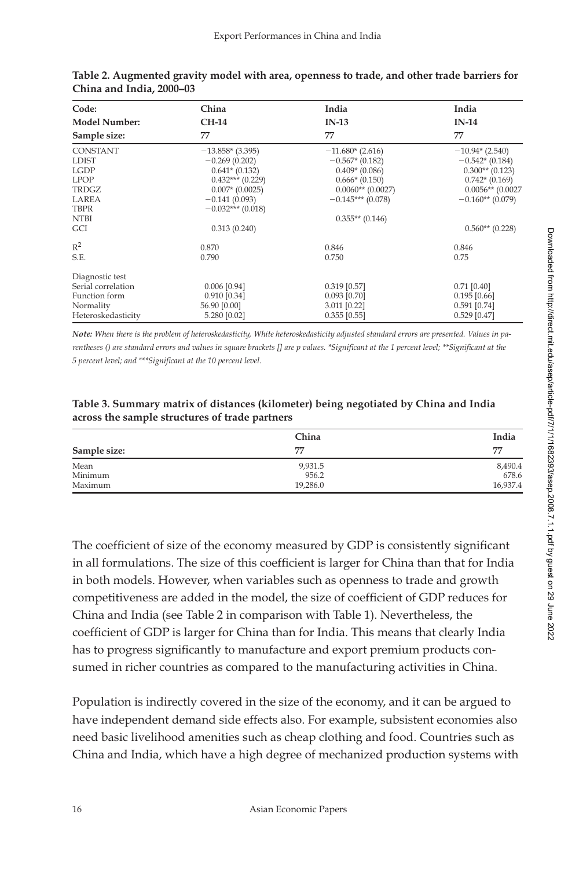| Code:                | China               | India               | India              |
|----------------------|---------------------|---------------------|--------------------|
| <b>Model Number:</b> | <b>CH-14</b>        | $IN-13$             | $IN-14$            |
| Sample size:         | 77                  | 77                  | 77                 |
| <b>CONSTANT</b>      | $-13.858*(3.395)$   | $-11.680*(2.616)$   | $-10.94*(2.540)$   |
| <b>LDIST</b>         | $-0.269(0.202)$     | $-0.567*(0.182)$    | $-0.542*(0.184)$   |
| <b>LGDP</b>          | $0.641*$ (0.132)    | $0.409*(0.086)$     | $0.300**$ (0.123)  |
| <b>LPOP</b>          | $0.432***$ (0.229)  | $0.666*(0.150)$     | $0.742*(0.169)$    |
| TRDGZ                | $0.007*$ (0.0025)   | $0.0060**$ (0.0027) | $0.0056**$ (0.0027 |
| LAREA                | $-0.141(0.093)$     | $-0.145***$ (0.078) | $-0.160**$ (0.079) |
| <b>TBPR</b>          | $-0.032***$ (0.018) |                     |                    |
| <b>NTBI</b>          |                     | $0.355**$ (0.146)   |                    |
| GCI                  | 0.313(0.240)        |                     | $0.560**$ (0.228)  |
| $R^2$                | 0.870               | 0.846               | 0.846              |
| S.E.                 | 0.790               | 0.750               | 0.75               |
| Diagnostic test      |                     |                     |                    |
| Serial correlation   | $0.006$ [0.94]      | $0.319$ [0.57]      | $0.71$ [0.40]      |
| Function form        | $0.910$ [0.34]      | $0.093$ [0.70]      | $0.195$ [0.66]     |
| Normality            | 56.90 [0.00]        | 3.011 [0.22]        | $0.591$ [0.74]     |
| Heteroskedasticity   | 5.280 [0.02]        | $0.355$ [0.55]      | $0.529$ [0.47]     |

| Table 2. Augmented gravity model with area, openness to trade, and other trade barriers for |  |
|---------------------------------------------------------------------------------------------|--|
| China and India, 2000–03                                                                    |  |

*Note: When there is the problem of heteroskedasticity, White heteroskedasticity adjusted standard errors are presented. Values in parentheses () are standard errors and values in square brackets [] are p values. \*Significant at the 1 percent level; \*\*Significant at the 5 percent level; and \*\*\* Significant at the 10 percent level.* 

| Table 3. Summary matrix of distances (kilometer) being negotiated by China and India |  |
|--------------------------------------------------------------------------------------|--|
| across the sample structures of trade partners                                       |  |

|              | China    | India    |  |
|--------------|----------|----------|--|
| Sample size: | 77       | 77       |  |
| Mean         | 9,931.5  | 8,490.4  |  |
| Minimum      | 956.2    | 678.6    |  |
| Maximum      | 19.286.0 | 16,937.4 |  |

The coefficient of size of the economy measured by GDP is consistently significant in all formulations. The size of this coefficient is larger for China than that for India in both models. However, when variables such as openness to trade and growth competitiveness are added in the model, the size of coefficient of GDP reduces for China and India (see Table 2 in comparison with Table 1). Nevertheless, the coefficient of GDP is larger for China than for India. This means that clearly India has to progress significantly to manufacture and export premium products consumed in richer countries as compared to the manufacturing activities in China.

Population is indirectly covered in the size of the economy, and it can be argued to have independent demand side effects also. For example, subsistent economies also need basic livelihood amenities such as cheap clothing and food. Countries such as China and India, which have a high degree of mechanized production systems with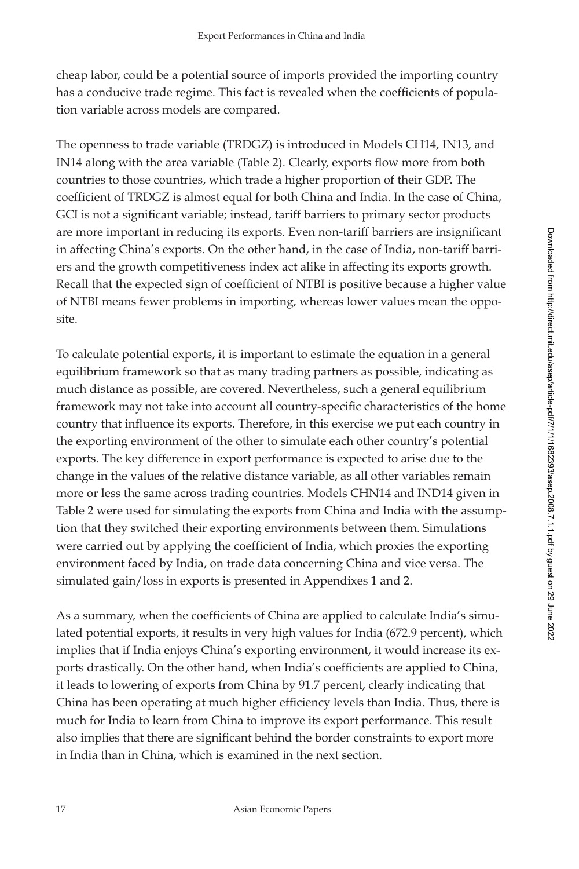cheap labor, could be a potential source of imports provided the importing country has a conducive trade regime. This fact is revealed when the coefficients of population variable across models are compared.

The openness to trade variable (TRDGZ) is introduced in Models CH14, IN13, and IN14 along with the area variable (Table 2). Clearly, exports flow more from both countries to those countries, which trade a higher proportion of their GDP. The coefficient of TRDGZ is almost equal for both China and India. In the case of China, GCI is not a significant variable; instead, tariff barriers to primary sector products are more important in reducing its exports. Even non-tariff barriers are insignificant in affecting China's exports. On the other hand, in the case of India, non-tariff barriers and the growth competitiveness index act alike in affecting its exports growth. Recall that the expected sign of coefficient of NTBI is positive because a higher value of NTBI means fewer problems in importing, whereas lower values mean the opposite.

To calculate potential exports, it is important to estimate the equation in a general equilibrium framework so that as many trading partners as possible, indicating as much distance as possible, are covered. Nevertheless, such a general equilibrium framework may not take into account all country-specific characteristics of the home country that influence its exports. Therefore, in this exercise we put each country in the exporting environment of the other to simulate each other country's potential exports. The key difference in export performance is expected to arise due to the change in the values of the relative distance variable, as all other variables remain more or less the same across trading countries. Models CHN14 and IND14 given in Table 2 were used for simulating the exports from China and India with the assumption that they switched their exporting environments between them. Simulations were carried out by applying the coefficient of India, which proxies the exporting environment faced by India, on trade data concerning China and vice versa. The simulated gain/loss in exports is presented in Appendixes 1 and 2.

As a summary, when the coefficients of China are applied to calculate India's simulated potential exports, it results in very high values for India (672.9 percent), which implies that if India enjoys China's exporting environment, it would increase its exports drastically. On the other hand, when India's coefficients are applied to China, it leads to lowering of exports from China by 91.7 percent, clearly indicating that China has been operating at much higher efficiency levels than India. Thus, there is much for India to learn from China to improve its export performance. This result also implies that there are significant behind the border constraints to export more in India than in China, which is examined in the next section.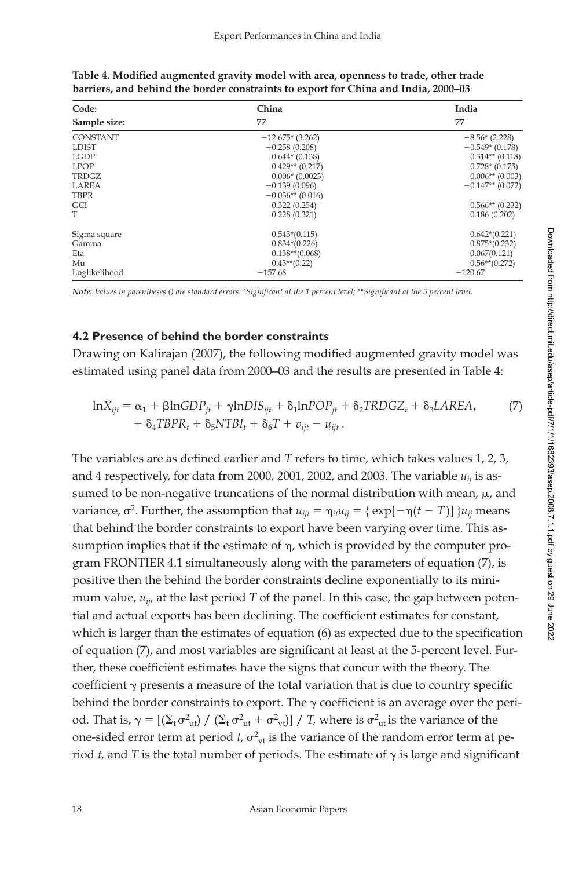| Code:           | China              | India              |
|-----------------|--------------------|--------------------|
| Sample size:    | 77                 | 77                 |
| <b>CONSTANT</b> | $-12.675*(3.262)$  | $-8.56*(2.228)$    |
| <b>LDIST</b>    | $-0.258(0.208)$    | $-0.549*(0.178)$   |
| <b>LGDP</b>     | $0.644*(0.138)$    | $0.314**$ (0.118)  |
| <b>LPOP</b>     | $0.429**$ (0.217)  | $0.728*(0.175)$    |
| TRDGZ           | $0.006*(0.0023)$   | $0.006**$ (0.003)  |
| LAREA           | $-0.139(0.096)$    | $-0.147**$ (0.072) |
| <b>TBPR</b>     | $-0.036**$ (0.016) |                    |
| GCI             | 0.322(0.254)       | $0.566**$ (0.232)  |
| T               | 0.228(0.321)       | 0.186(0.202)       |
| Sigma square    | $0.543*(0.115)$    | $0.642*(0.221)$    |
| Gamma           | $0.834*(0.226)$    | $0.875*(0.232)$    |
| Eta             | $0.138**$ (0.068)  | 0.067(0.121)       |
| Mu              | $0.43**$ (0.22)    | $0.56**$ (0.272)   |
| Loglikelihood   | $-157.68$          | $-120.67$          |

Table 4. Modified augmented gravity model with area, openness to trade, other trade **barriers, and behind the border constraints to export for China and India, 2000–03**

*Note: Values in parentheses () are standard errors. \*Significant at the 1 percent level; \*\*Significant at the 5 percent level.* 

#### **4.2 Presence of behind the border constraints**

Drawing on Kalirajan (2007), the following modified augmented gravity model was estimated using panel data from 2000–03 and the results are presented in Table 4:

$$
\ln X_{ijt} = \alpha_1 + \beta \ln GDP_{jt} + \gamma \ln DIS_{ijt} + \delta_1 \ln POP_{jt} + \delta_2 TRDGZ_t + \delta_3 L AREA_t \tag{7}
$$

$$
+ \delta_4 TBPR_t + \delta_5 NTBI_t + \delta_6 T + v_{ijt} - u_{ijt}.
$$

The variables are as defined earlier and *T* refers to time, which takes values 1, 2, 3, and 4 respectively, for data from 2000, 2001, 2002, and 2003. The variable  $u_{ii}$  is assumed to be non-negative truncations of the normal distribution with mean,  $\mu$ , and variance,  $\sigma^2$ . Further, the assumption that  $u_{ijt} = \eta_{it}u_{ij} = {\text{exp}[-\eta(t-T)] } u_{ij}$  means that behind the border constraints to export have been varying over time. This assumption implies that if the estimate of  $\eta$ , which is provided by the computer program FRONTIER 4.1 simultaneously along with the parameters of equation (7), is positive then the behind the border constraints decline exponentially to its minimum value,  $u_{ii}$ , at the last period  $T$  of the panel. In this case, the gap between potential and actual exports has been declining. The coefficient estimates for constant, which is larger than the estimates of equation  $(6)$  as expected due to the specification of equation (7), and most variables are significant at least at the 5-percent level. Further, these coefficient estimates have the signs that concur with the theory. The coefficient  $\gamma$  presents a measure of the total variation that is due to country specific behind the border constraints to export. The  $\gamma$  coefficient is an average over the period. That is,  $\gamma = [(\Sigma_t \sigma_{ut}^2) / (\Sigma_t \sigma_{ut}^2 + \sigma_{vt}^2)] / T$ , where is  $\sigma_{ut}^2$  is the variance of the one-sided error term at period  $t$ ,  $\sigma_{\rm vt}^2$  is the variance of the random error term at period  $t$ , and  $T$  is the total number of periods. The estimate of  $\gamma$  is large and significant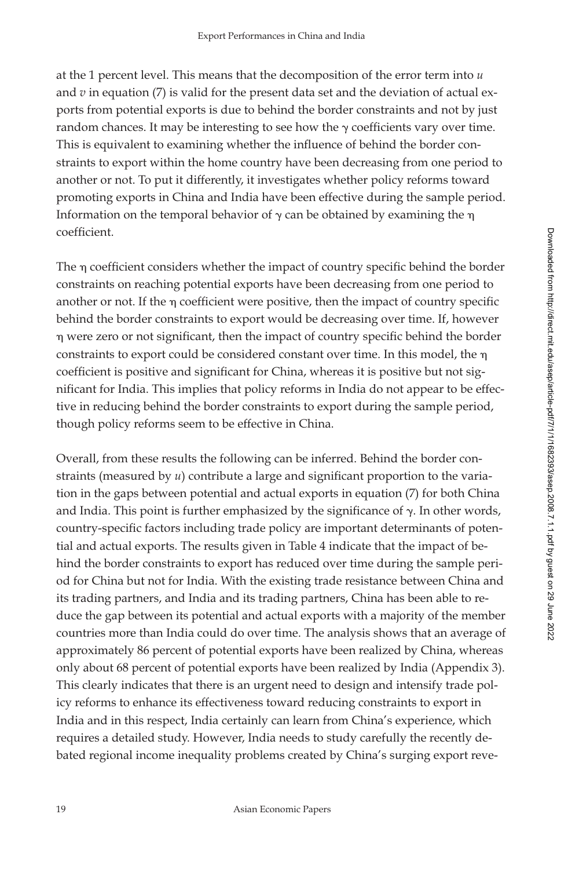at the 1 percent level. This means that the decomposition of the error term into *u* and  $v$  in equation (7) is valid for the present data set and the deviation of actual exports from potential exports is due to behind the border constraints and not by just random chances. It may be interesting to see how the  $\gamma$  coefficients vary over time. This is equivalent to examining whether the influence of behind the border constraints to export within the home country have been decreasing from one period to another or not. To put it differently, it investigates whether policy reforms toward promoting exports in China and India have been effective during the sample period. Information on the temporal behavior of  $\gamma$  can be obtained by examining the  $\eta$ coefficient.

The  $\eta$  coefficient considers whether the impact of country specific behind the border constraints on reaching potential exports have been decreasing from one period to another or not. If the  $\eta$  coefficient were positive, then the impact of country specific behind the border constraints to export would be decreasing over time. If, however  $\eta$  were zero or not significant, then the impact of country specific behind the border constraints to export could be considered constant over time. In this model, the coefficient is positive and significant for China, whereas it is positive but not significant for India. This implies that policy reforms in India do not appear to be effective in reducing behind the border constraints to export during the sample period, though policy reforms seem to be effective in China.

Overall, from these results the following can be inferred. Behind the border constraints (measured by  $u$ ) contribute a large and significant proportion to the variation in the gaps between potential and actual exports in equation (7) for both China and India. This point is further emphasized by the significance of  $\gamma$ . In other words, country-specific factors including trade policy are important determinants of potential and actual exports. The results given in Table 4 indicate that the impact of behind the border constraints to export has reduced over time during the sample period for China but not for India. With the existing trade resistance between China and its trading partners, and India and its trading partners, China has been able to reduce the gap between its potential and actual exports with a majority of the member countries more than India could do over time. The analysis shows that an average of approximately 86 percent of potential exports have been realized by China, whereas only about 68 percent of potential exports have been realized by India (Appendix 3). This clearly indicates that there is an urgent need to design and intensify trade policy reforms to enhance its effectiveness toward reducing constraints to export in India and in this respect, India certainly can learn from China's experience, which requires a detailed study. However, India needs to study carefully the recently debated regional income inequality problems created by China's surging export reve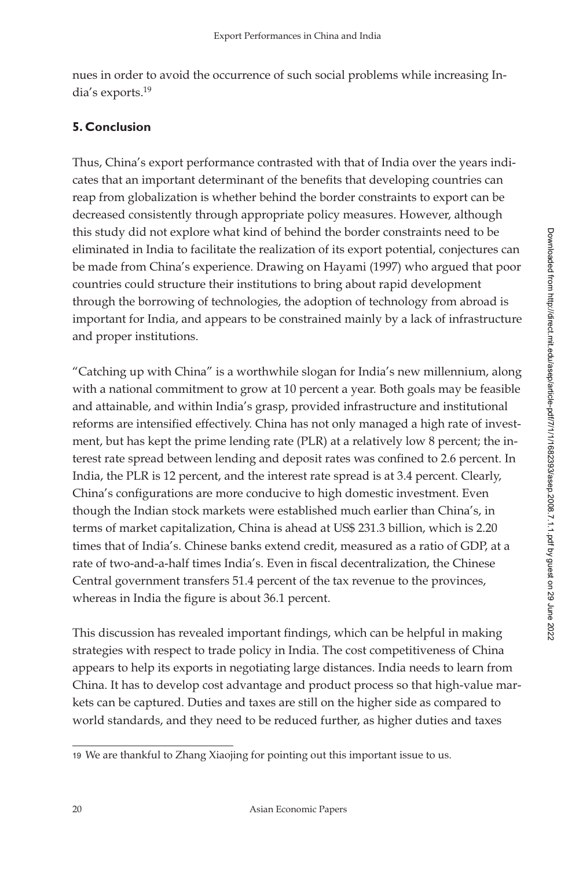nues in order to avoid the occurrence of such social problems while increasing India's exports.19

# **5. Conclusion**

Thus, China's export performance contrasted with that of India over the years indicates that an important determinant of the benefits that developing countries can reap from globalization is whether behind the border constraints to export can be decreased consistently through appropriate policy measures. However, although this study did not explore what kind of behind the border constraints need to be eliminated in India to facilitate the realization of its export potential, conjectures can be made from China's experience. Drawing on Hayami (1997) who argued that poor countries could structure their institutions to bring about rapid development through the borrowing of technologies, the adoption of technology from abroad is important for India, and appears to be constrained mainly by a lack of infrastructure and proper institutions.

"Catching up with China" is a worthwhile slogan for India's new millennium, along with a national commitment to grow at 10 percent a year. Both goals may be feasible and attainable, and within India's grasp, provided infrastructure and institutional reforms are intensified effectively. China has not only managed a high rate of investment, but has kept the prime lending rate (PLR) at a relatively low 8 percent; the interest rate spread between lending and deposit rates was confined to 2.6 percent. In India, the PLR is 12 percent, and the interest rate spread is at 3.4 percent. Clearly, China's configurations are more conducive to high domestic investment. Even though the Indian stock markets were established much earlier than China's, in terms of market capitalization, China is ahead at US\$ 231.3 billion, which is 2.20 times that of India's. Chinese banks extend credit, measured as a ratio of GDP, at a rate of two-and-a-half times India's. Even in fiscal decentralization, the Chinese Central government transfers 51.4 percent of the tax revenue to the provinces, whereas in India the figure is about 36.1 percent.

This discussion has revealed important findings, which can be helpful in making strategies with respect to trade policy in India. The cost competitiveness of China appears to help its exports in negotiating large distances. India needs to learn from China. It has to develop cost advantage and product process so that high-value markets can be captured. Duties and taxes are still on the higher side as compared to world standards, and they need to be reduced further, as higher duties and taxes

<sup>19</sup> We are thankful to Zhang Xiaojing for pointing out this important issue to us.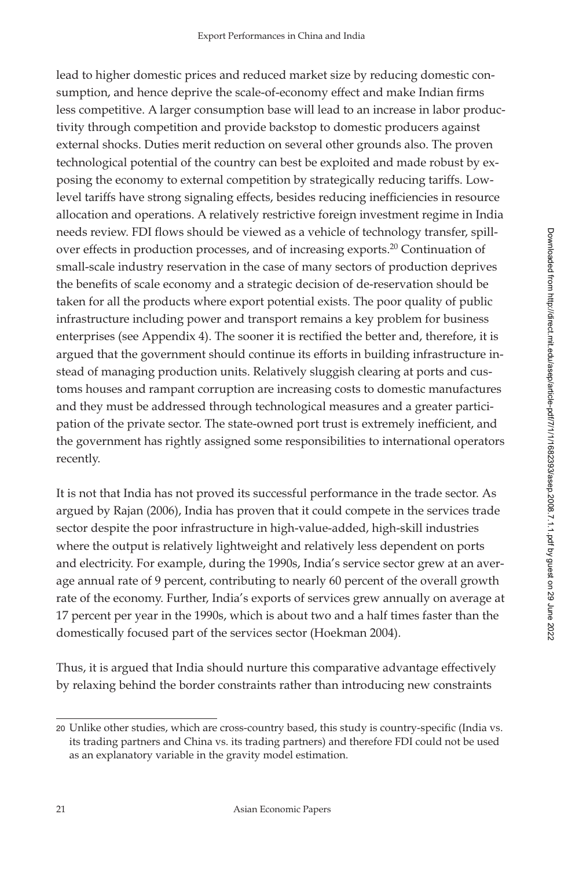lead to higher domestic prices and reduced market size by reducing domestic consumption, and hence deprive the scale-of-economy effect and make Indian firms less competitive. A larger consumption base will lead to an increase in labor productivity through competition and provide backstop to domestic producers against external shocks. Duties merit reduction on several other grounds also. The proven technological potential of the country can best be exploited and made robust by exposing the economy to external competition by strategically reducing tariffs. Lowlevel tariffs have strong signaling effects, besides reducing inefficiencies in resource allocation and operations. A relatively restrictive foreign investment regime in India needs review. FDI flows should be viewed as a vehicle of technology transfer, spillover effects in production processes, and of increasing exports.<sup>20</sup> Continuation of small-scale industry reservation in the case of many sectors of production deprives the benefits of scale economy and a strategic decision of de-reservation should be taken for all the products where export potential exists. The poor quality of public infrastructure including power and transport remains a key problem for business enterprises (see Appendix 4). The sooner it is rectified the better and, therefore, it is argued that the government should continue its efforts in building infrastructure instead of managing production units. Relatively sluggish clearing at ports and customs houses and rampant corruption are increasing costs to domestic manufactures and they must be addressed through technological measures and a greater participation of the private sector. The state-owned port trust is extremely inefficient, and the government has rightly assigned some responsibilities to international operators recently.

It is not that India has not proved its successful performance in the trade sector. As argued by Rajan (2006), India has proven that it could compete in the services trade sector despite the poor infrastructure in high-value-added, high-skill industries where the output is relatively lightweight and relatively less dependent on ports and electricity. For example, during the 1990s, India's service sector grew at an average annual rate of 9 percent, contributing to nearly 60 percent of the overall growth rate of the economy. Further, India's exports of services grew annually on average at 17 percent per year in the 1990s, which is about two and a half times faster than the domestically focused part of the services sector (Hoekman 2004).

Thus, it is argued that India should nurture this comparative advantage effectively by relaxing behind the border constraints rather than introducing new constraints

<sup>20</sup> Unlike other studies, which are cross-country based, this study is country-specific (India vs. its trading partners and China vs. its trading partners) and therefore FDI could not be used as an explanatory variable in the gravity model estimation.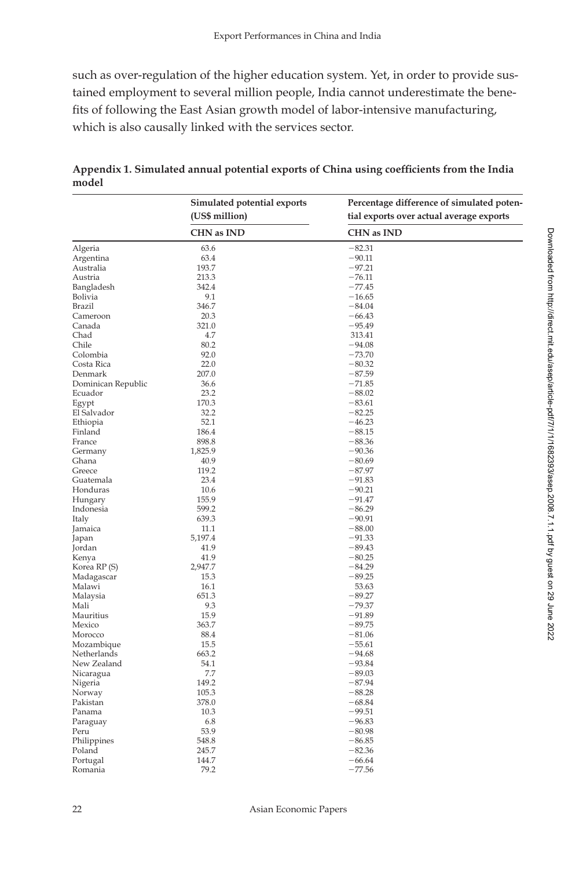such as over-regulation of the higher education system. Yet, in order to provide sustained employment to several million people, India cannot underestimate the benefits of following the East Asian growth model of labor-intensive manufacturing, which is also causally linked with the services sector.

|                    | Simulated potential exports<br>(US\$ million) | Percentage difference of simulated poten-<br>tial exports over actual average exports |  |
|--------------------|-----------------------------------------------|---------------------------------------------------------------------------------------|--|
|                    | <b>CHN</b> as IND                             | <b>CHN</b> as IND                                                                     |  |
| Algeria            | 63.6                                          | $-82.31$                                                                              |  |
| Argentina          | 63.4                                          | $-90.11$                                                                              |  |
| Australia          | 193.7                                         | $-97.21$                                                                              |  |
| Austria            | 213.3                                         | $-76.11$                                                                              |  |
| Bangladesh         | 342.4                                         | $-77.45$                                                                              |  |
| Bolivia            | 9.1                                           | $-16.65$                                                                              |  |
| Brazil             | 346.7                                         | $-84.04$                                                                              |  |
| Cameroon           | 20.3                                          | $-66.43$                                                                              |  |
| Canada             | 321.0                                         | $-95.49$                                                                              |  |
| Chad               | 4.7                                           | 313.41                                                                                |  |
| Chile              | 80.2                                          | $-94.08$                                                                              |  |
| Colombia           | 92.0                                          | $-73.70$                                                                              |  |
| Costa Rica         | 22.0                                          | $-80.32$                                                                              |  |
| Denmark            | 207.0                                         | $-87.59$                                                                              |  |
| Dominican Republic | 36.6                                          | $-71.85$                                                                              |  |
| Ecuador            | 23.2                                          | $-88.02$                                                                              |  |
| Egypt              | 170.3                                         | $-83.61$                                                                              |  |
| El Salvador        | 32.2                                          | $-82.25$                                                                              |  |
| Ethiopia           | 52.1                                          | $-46.23$                                                                              |  |
| Finland            | 186.4                                         | $-88.15$                                                                              |  |
| France             | 898.8                                         | $-88.36$                                                                              |  |
| Germany            | 1,825.9                                       | $-90.36$                                                                              |  |
| Ghana              | 40.9                                          | $-80.69$                                                                              |  |
| Greece             | 119.2                                         | $-87.97$                                                                              |  |
| Guatemala          | 23.4                                          | $-91.83$                                                                              |  |
| Honduras           | 10.6                                          | $-90.21$                                                                              |  |
|                    | 155.9                                         | $-91.47$                                                                              |  |
| Hungary            | 599.2                                         | $-86.29$                                                                              |  |
| Indonesia          | 639.3                                         | $-90.91$                                                                              |  |
| Italy              | 11.1                                          | $-88.00$                                                                              |  |
| Jamaica            |                                               | $-91.33$                                                                              |  |
| Japan              | 5,197.4                                       | $-89.43$                                                                              |  |
| Jordan             | 41.9<br>41.9                                  | $-80.25$                                                                              |  |
| Kenya              |                                               |                                                                                       |  |
| Korea RP (S)       | 2,947.7                                       | $-84.29$                                                                              |  |
| Madagascar         | 15.3                                          | $-89.25$                                                                              |  |
| Malawi             | 16.1                                          | 53.63                                                                                 |  |
| Malaysia           | 651.3                                         | $-89.27$                                                                              |  |
| Mali               | 9.3                                           | $-79.37$                                                                              |  |
| Mauritius          | 15.9                                          | $-91.89$                                                                              |  |
| Mexico             | 363.7                                         | $-89.75$                                                                              |  |
| Morocco            | 88.4                                          | $-81.06$                                                                              |  |
| Mozambique         | 15.5                                          | $-55.61$                                                                              |  |
| Netherlands        | 663.2                                         | $-94.68$                                                                              |  |
| New Zealand        | 54.1                                          | $-93.84$                                                                              |  |
| Nicaragua          | 7.7                                           | $-89.03$                                                                              |  |
| Nigeria            | 149.2                                         | $-87.94$                                                                              |  |
| Norway             | 105.3                                         | $-88.28$                                                                              |  |
| Pakistan           | 378.0                                         | $-68.84$                                                                              |  |
| Panama             | 10.3                                          | $-99.51$                                                                              |  |
| Paraguay           | 6.8                                           | $-96.83$                                                                              |  |
| Peru               | 53.9                                          | $-80.98$                                                                              |  |
| Philippines        | 548.8                                         | $-86.85$                                                                              |  |
| Poland             | 245.7                                         | $-82.36$                                                                              |  |
| Portugal           | 144.7                                         | $-66.64$                                                                              |  |
| Romania            | 79.2                                          | $-77.56$                                                                              |  |

Appendix 1. Simulated annual potential exports of China using coefficients from the India **model**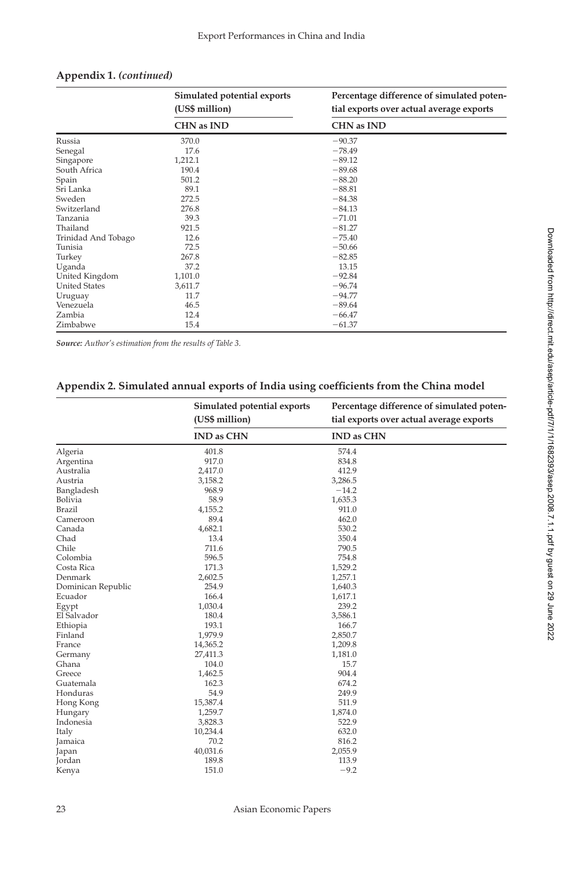|                      | Simulated potential exports | Percentage difference of simulated poten- |  |
|----------------------|-----------------------------|-------------------------------------------|--|
|                      | (US\$ million)              | tial exports over actual average exports  |  |
|                      | <b>CHN</b> as IND           | <b>CHN</b> as IND                         |  |
| Russia               | 370.0                       | $-90.37$                                  |  |
| Senegal              | 17.6                        | $-78.49$                                  |  |
| Singapore            | 1,212.1                     | $-89.12$                                  |  |
| South Africa         | 190.4                       | $-89.68$                                  |  |
| Spain                | 501.2                       | $-88.20$                                  |  |
| Sri Lanka            | 89.1                        | $-88.81$                                  |  |
| Sweden               | 272.5                       | $-84.38$                                  |  |
| Switzerland          | 276.8                       | $-84.13$                                  |  |
| Tanzania             | 39.3                        | $-71.01$                                  |  |
| Thailand             | 921.5                       | $-81.27$                                  |  |
| Trinidad And Tobago  | 12.6                        | $-75.40$                                  |  |
| Tunisia              | 72.5                        | $-50.66$                                  |  |
| Turkey               | 267.8                       | $-82.85$                                  |  |
| Uganda               | 37.2                        | 13.15                                     |  |
| United Kingdom       | 1,101.0                     | $-92.84$                                  |  |
| <b>United States</b> | 3,611.7                     | $-96.74$                                  |  |
| Uruguay              | 11.7                        | $-94.77$                                  |  |
| Venezuela            | 46.5                        | $-89.64$                                  |  |
| Zambia               | 12.4                        | $-66.47$                                  |  |
| Zimbabwe             | 15.4                        | $-61.37$                                  |  |

#### **Appendix 1.** *(continued)*

*Source: Author's estimation from the results of Table 3.*

### Appendix 2. Simulated annual exports of India using coefficients from the China model

|                    | Simulated potential exports<br>(US\$ million) | Percentage difference of simulated poten-<br>tial exports over actual average exports |
|--------------------|-----------------------------------------------|---------------------------------------------------------------------------------------|
|                    | <b>IND as CHN</b>                             | <b>IND as CHN</b>                                                                     |
| Algeria            | 401.8                                         | 574.4                                                                                 |
| Argentina          | 917.0                                         | 834.8                                                                                 |
| Australia          | 2,417.0                                       | 412.9                                                                                 |
| Austria            | 3,158.2                                       | 3,286.5                                                                               |
| Bangladesh         | 968.9                                         | $-14.2$                                                                               |
| Bolivia            | 58.9                                          | 1,635.3                                                                               |
| Brazil             | 4,155.2                                       | 911.0                                                                                 |
| Cameroon           | 89.4                                          | 462.0                                                                                 |
| Canada             | 4,682.1                                       | 530.2                                                                                 |
| Chad               | 13.4                                          | 350.4                                                                                 |
| Chile              | 711.6                                         | 790.5                                                                                 |
| Colombia           | 596.5                                         | 754.8                                                                                 |
| Costa Rica         | 171.3                                         | 1,529.2                                                                               |
| Denmark            | 2,602.5                                       | 1,257.1                                                                               |
| Dominican Republic | 254.9                                         | 1,640.3                                                                               |
| Ecuador            | 166.4                                         | 1,617.1                                                                               |
| Egypt              | 1,030.4                                       | 239.2                                                                                 |
| El Salvador        | 180.4                                         | 3,586.1                                                                               |
| Ethiopia           | 193.1                                         | 166.7                                                                                 |
| Finland            | 1,979.9                                       | 2,850.7                                                                               |
| France             | 14,365.2                                      | 1,209.8                                                                               |
| Germany            | 27,411.3                                      | 1,181.0                                                                               |
| Ghana              | 104.0                                         | 15.7                                                                                  |
| Greece             | 1,462.5                                       | 904.4                                                                                 |
| Guatemala          | 162.3                                         | 674.2                                                                                 |
| Honduras           | 54.9                                          | 249.9                                                                                 |
| Hong Kong          | 15,387.4                                      | 511.9                                                                                 |
| Hungary            | 1,259.7                                       | 1,874.0                                                                               |
| Indonesia          | 3,828.3                                       | 522.9                                                                                 |
| Italy              | 10,234.4                                      | 632.0                                                                                 |
| Jamaica            | 70.2                                          | 816.2                                                                                 |
| Japan              | 40,031.6                                      | 2,055.9                                                                               |
| Jordan             | 189.8                                         | 113.9                                                                                 |
| Kenya              | 151.0                                         | $-9.2$                                                                                |

Downloaded from http://direct.mit.edu/asep/article-pdf/7/1/11682393/asep.2008.7.1.1.pdf by guest on 29 June 2022 Downloaded from http://direct.mit.edu/asep/article-pdf/7/1/1/1682393/asep.2008.7.1.1.pdf by guest on 29 June 2022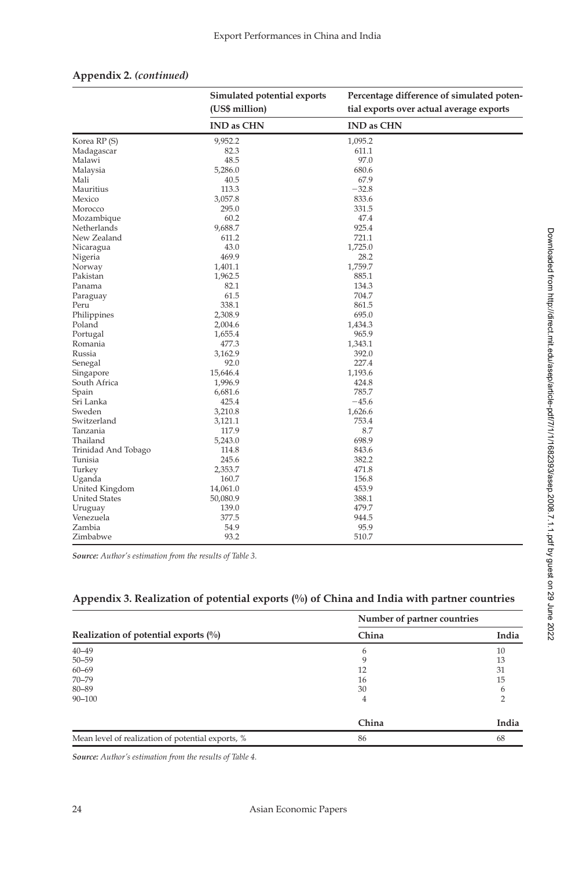|                      | (US\$ million)<br><b>IND as CHN</b> | tial exports over actual average exports |
|----------------------|-------------------------------------|------------------------------------------|
|                      |                                     |                                          |
|                      |                                     | <b>IND as CHN</b>                        |
| Korea RP (S)         | 9,952.2                             | 1,095.2                                  |
| Madagascar           | 82.3                                | 611.1                                    |
| Malawi               | 48.5                                | 97.0                                     |
| Malaysia             | 5,286.0                             | 680.6                                    |
| Mali                 | 40.5                                | 67.9                                     |
| Mauritius            | 113.3                               | $-32.8$                                  |
| Mexico               | 3,057.8                             | 833.6                                    |
| Morocco              | 295.0                               | 331.5                                    |
| Mozambique           | 60.2                                | 47.4                                     |
| Netherlands          | 9,688.7                             | 925.4                                    |
| New Zealand          | 611.2                               | 721.1                                    |
| Nicaragua            | 43.0                                | 1,725.0                                  |
| Nigeria              | 469.9                               | 28.2                                     |
| Norway               | 1,401.1                             | 1,759.7                                  |
| Pakistan             | 1,962.5                             | 885.1                                    |
| Panama               | 82.1                                | 134.3                                    |
| Paraguay             | 61.5                                | 704.7                                    |
| Peru                 | 338.1                               | 861.5                                    |
| Philippines          | 2,308.9                             | 695.0                                    |
| Poland               | 2,004.6                             | 1,434.3                                  |
| Portugal             | 1,655.4                             | 965.9                                    |
| Romania              | 477.3                               | 1,343.1                                  |
| Russia               | 3,162.9                             | 392.0                                    |
| Senegal              | 92.0                                | 227.4                                    |
| Singapore            | 15,646.4                            | 1,193.6                                  |
| South Africa         | 1,996.9                             | 424.8                                    |
| Spain                | 6,681.6                             | 785.7                                    |
| Sri Lanka            | 425.4                               | $-45.6$                                  |
| Sweden               | 3,210.8                             | 1,626.6                                  |
| Switzerland          | 3,121.1                             | 753.4                                    |
| Tanzania             | 117.9                               | 8.7                                      |
| Thailand             | 5,243.0                             | 698.9                                    |
| Trinidad And Tobago  | 114.8                               | 843.6                                    |
| Tunisia              | 245.6                               | 382.2                                    |
| Turkey               | 2,353.7                             | 471.8                                    |
| Uganda               | 160.7                               | 156.8                                    |
| United Kingdom       | 14,061.0                            | 453.9                                    |
| <b>United States</b> | 50,080.9                            | 388.1                                    |
| Uruguay              | 139.0                               | 479.7                                    |
| Venezuela            | 377.5                               | 944.5                                    |
| Zambia               | 54.9                                | 95.9                                     |
| Zimbabwe             | 93.2                                | 510.7                                    |

#### **Appendix 2.** *(continued)*

*Source: Author's estimation from the results of Table 3.*

## **Appendix 3. Realization of potential exports (%) of China and India with partner countries**

|                                                   | Number of partner countries |       |
|---------------------------------------------------|-----------------------------|-------|
| Realization of potential exports $(\% )$          | China                       | India |
| $40 - 49$                                         | b                           | 10    |
| $50 - 59$                                         | a                           | 13    |
| $60 - 69$                                         | 12                          | 31    |
| $70 - 79$                                         | 16                          | 15    |
| 80-89                                             | 30                          | h     |
| $90 - 100$                                        | 4                           |       |
|                                                   | China                       | India |
| Mean level of realization of potential exports, % | 86                          | 68    |

*Source: Author's estimation from the results of Table 4.*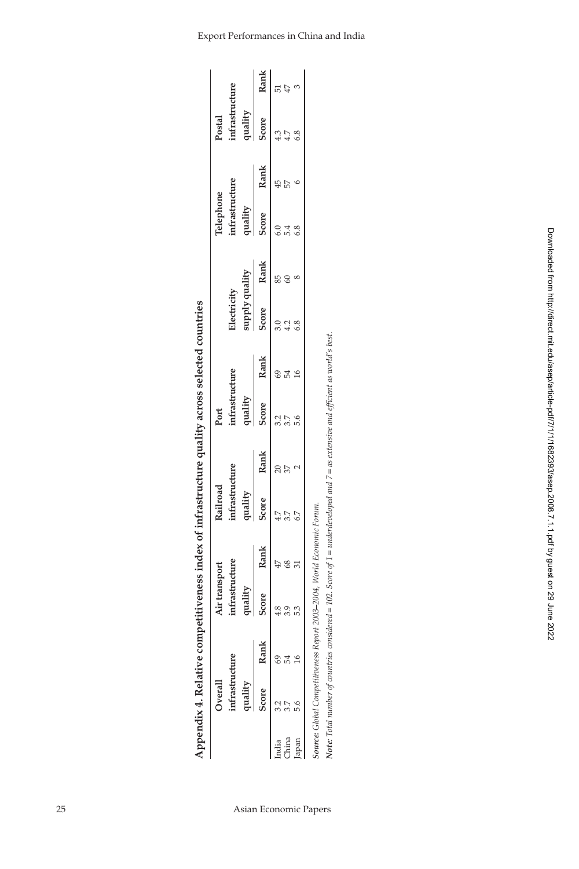| Score<br>Rank<br>Score<br>3.7<br>China<br>India                                                                                       | quality | infrastructure<br>Railroad<br>quality |      | infrastructure<br>quality |           | supply quality<br>Electricity |      | infrastructure<br>Telephone<br>quality |      | infrastructure<br>quality<br>Postal |      |
|---------------------------------------------------------------------------------------------------------------------------------------|---------|---------------------------------------|------|---------------------------|-----------|-------------------------------|------|----------------------------------------|------|-------------------------------------|------|
|                                                                                                                                       | Rank    | Score                                 | Rank | Score                     | Rank      | Score                         | Rank | Score                                  | Rank | Score                               | Rank |
|                                                                                                                                       |         |                                       |      |                           |           |                               |      |                                        |      |                                     |      |
|                                                                                                                                       |         |                                       |      |                           |           |                               |      |                                        |      | 4.7                                 | $47$ |
| Japan                                                                                                                                 |         |                                       |      |                           | $\approx$ |                               |      |                                        |      | 6.8                                 |      |
|                                                                                                                                       |         |                                       |      |                           |           |                               |      |                                        |      |                                     |      |
| Source: Global Competitiveness Report 2003-2004, World Economic Forum.                                                                |         |                                       |      |                           |           |                               |      |                                        |      |                                     |      |
| Note: Total number of countries considered = 102. Score of $1 =$ underdeveloped and $7 =$ as extensive and efficient as world's best. |         |                                       |      |                           |           |                               |      |                                        |      |                                     |      |

|                          |                           | ś                                                                                                     |
|--------------------------|---------------------------|-------------------------------------------------------------------------------------------------------|
| þ                        | š                         | ś<br>ׇ֚֬֕                                                                                             |
|                          |                           |                                                                                                       |
|                          |                           | ׇׇ֬֕֡<br>ׇ֖֖֪ׅ֖֖֧֧ׅ֧֧֪֪֪֪֪֪ׅ֪ׅ֧֪֪֪֪֪֪֪֪֪֪֪ׅ֧֧֧֚֚֚֚֚֚֚֚֚֚֚֚֚֚֚֡֝֕֓֡֕֓֡֡֡֝֬֝֓֝֬֝֓֬֓֝֓֬֝֬֝֬֓֬֝֬֝֬֝֝֬֝֬֝֬ |
| I                        |                           | $\ddot{\phantom{a}}$                                                                                  |
|                          |                           | :<br>:<br>:                                                                                           |
| i                        |                           | Ì                                                                                                     |
| ¢<br>j<br>¢              |                           | ׇ֘֒<br>ì                                                                                              |
| ¢<br>ì<br>j              | ı                         | ׇ֠<br>ׇ֠                                                                                              |
|                          |                           |                                                                                                       |
|                          | $\overline{\phantom{a}}$  | j                                                                                                     |
| I                        |                           |                                                                                                       |
|                          |                           |                                                                                                       |
| ۱                        |                           |                                                                                                       |
|                          |                           | ì                                                                                                     |
| $\overline{\phantom{a}}$ |                           |                                                                                                       |
| ï                        |                           | <b>SALL</b>                                                                                           |
| ì                        |                           | יי<br>ד                                                                                               |
|                          | $\ddot{\phantom{0}}$<br>j | $\ddotsc$                                                                                             |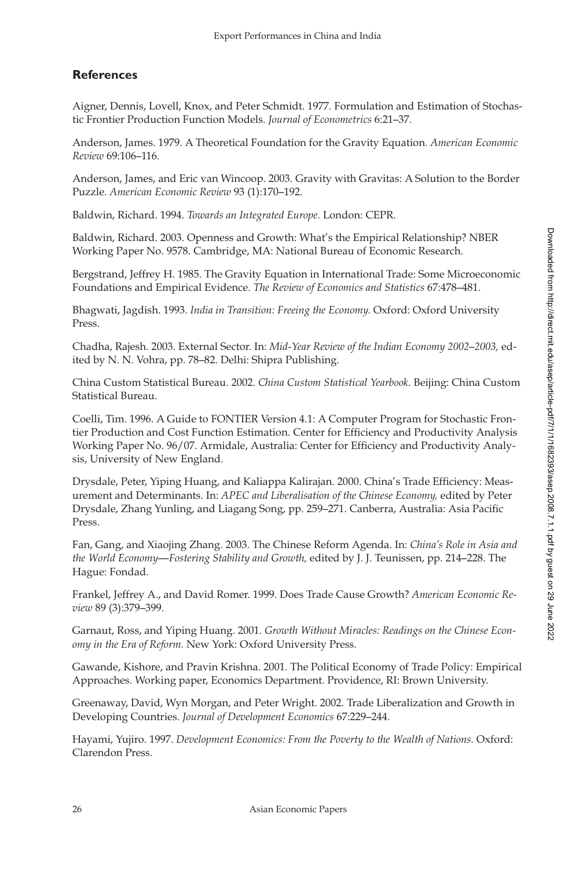# **References**

Aigner, Dennis, Lovell, Knox, and Peter Schmidt. 1977. Formulation and Estimation of Stochastic Frontier Production Function Models. *Journal of Econometrics* 6:21–37.

Anderson, James. 1979. A Theoretical Foundation for the Gravity Equation. *American Economic Review* 69:106–116.

Anderson, James, and Eric van Wincoop. 2003. Gravity with Gravitas: A Solution to the Border Puzzle. *American Economic Review* 93 (1):170–192.

Baldwin, Richard. 1994. *Towards an Integrated Europe.* London: CEPR.

Baldwin, Richard. 2003. Openness and Growth: What's the Empirical Relationship? NBER Working Paper No. 9578. Cambridge, MA: National Bureau of Economic Research.

Bergstrand, Jeffrey H. 1985. The Gravity Equation in International Trade: Some Microeconomic Foundations and Empirical Evidence. *The Review of Economics and Statistics* 67:478–481.

Bhagwati, Jagdish. 1993. *India in Transition: Freeing the Economy.* Oxford: Oxford University Press.

Chadha, Rajesh. 2003. External Sector. In: *Mid-Year Review of the Indian Economy 2002–2003,* edited by N. N. Vohra, pp. 78–82. Delhi: Shipra Publishing.

China Custom Statistical Bureau. 2002. *China Custom Statistical Yearbook.* Beijing: China Custom Statistical Bureau.

Coelli, Tim. 1996. A Guide to FONTIER Version 4.1: A Computer Program for Stochastic Frontier Production and Cost Function Estimation. Center for Efficiency and Productivity Analysis Working Paper No. 96/07. Armidale, Australia: Center for Efficiency and Productivity Analysis, University of New England.

Drysdale, Peter, Yiping Huang, and Kaliappa Kalirajan. 2000. China's Trade Efficiency: Measurement and Determinants. In: *APEC and Liberalisation of the Chinese Economy,* edited by Peter Drysdale, Zhang Yunling, and Liagang Song, pp. 259–271. Canberra, Australia: Asia Pacific Press.

Fan, Gang, and Xiaojing Zhang. 2003. The Chinese Reform Agenda. In: *China's Role in Asia and the World Economy—Fostering Stability and Growth,* edited by J. J. Teunissen, pp. 214–228. The Hague: Fondad.

Frankel, Jeffrey A., and David Romer. 1999. Does Trade Cause Growth? *American Economic Review* 89 (3):379–399.

Garnaut, Ross, and Yiping Huang. 2001. *Growth Without Miracles: Readings on the Chinese Economy in the Era of Reform.* New York: Oxford University Press.

Gawande, Kishore, and Pravin Krishna. 2001. The Political Economy of Trade Policy: Empirical Approaches. Working paper, Economics Department. Providence, RI: Brown University.

Greenaway, David, Wyn Morgan, and Peter Wright. 2002. Trade Liberalization and Growth in Developing Countries. *Journal of Development Economics* 67:229–244.

Hayami, Yujiro. 1997. *Development Economics: From the Poverty to the Wealth of Nations.* Oxford: Clarendon Press.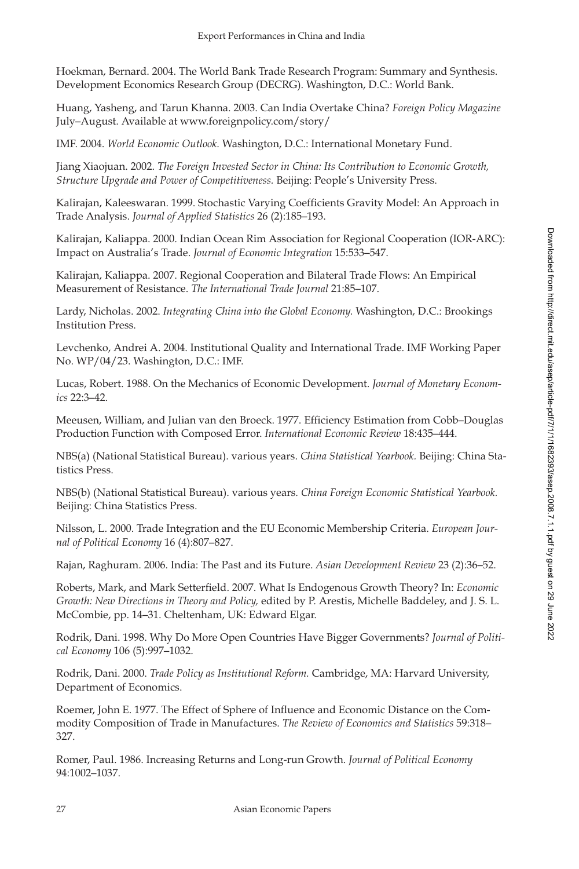Hoekman, Bernard. 2004. The World Bank Trade Research Program: Summary and Synthesis. Development Economics Research Group (DECRG). Washington, D.C.: World Bank.

Huang, Yasheng, and Tarun Khanna. 2003. Can India Overtake China? *Foreign Policy Magazine* July–August. Available at www.foreignpolicy.com/story/

IMF. 2004. *World Economic Outlook.* Washington, D.C.: International Monetary Fund.

Jiang Xiaojuan. 2002. *The Foreign Invested Sector in China: Its Contribution to Economic Growth, Structure Upgrade and Power of Competitiveness.* Beijing: People's University Press.

Kalirajan, Kaleeswaran. 1999. Stochastic Varying Coefficients Gravity Model: An Approach in Trade Analysis. *Journal of Applied Statistics* 26 (2):185–193.

Kalirajan, Kaliappa. 2000. Indian Ocean Rim Association for Regional Cooperation (IOR-ARC): Impact on Australia's Trade. *Journal of Economic Integration* 15:533–547.

Kalirajan, Kaliappa. 2007. Regional Cooperation and Bilateral Trade Flows: An Empirical Measurement of Resistance. *The International Trade Journal* 21:85–107.

Lardy, Nicholas. 2002. *Integrating China into the Global Economy.* Washington, D.C.: Brookings Institution Press.

Levchenko, Andrei A. 2004. Institutional Quality and International Trade. IMF Working Paper No. WP/04/23. Washington, D.C.: IMF.

Lucas, Robert. 1988. On the Mechanics of Economic Development. *Journal of Monetary Economics* 22:3–42.

Meeusen, William, and Julian van den Broeck. 1977. Efficiency Estimation from Cobb–Douglas Production Function with Composed Error. *International Economic Review* 18:435–444.

NBS(a) (National Statistical Bureau). various years. *China Statistical Yearbook.* Beijing: China Statistics Press.

NBS(b) (National Statistical Bureau). various years. *China Foreign Economic Statistical Yearbook.* Beijing: China Statistics Press.

Nilsson, L. 2000. Trade Integration and the EU Economic Membership Criteria. *European Journal of Political Economy* 16 (4):807–827.

Rajan, Raghuram. 2006. India: The Past and its Future. *Asian Development Review* 23 (2):36–52.

Roberts, Mark, and Mark Setterfield. 2007. What Is Endogenous Growth Theory? In: *Economic Growth: New Directions in Theory and Policy,* edited by P. Arestis, Michelle Baddeley, and J. S. L. McCombie, pp. 14–31. Cheltenham, UK: Edward Elgar.

Rodrik, Dani. 1998. Why Do More Open Countries Have Bigger Governments? *Journal of Political Economy* 106 (5):997–1032.

Rodrik, Dani. 2000. *Trade Policy as Institutional Reform.* Cambridge, MA: Harvard University, Department of Economics.

Roemer, John E. 1977. The Effect of Sphere of Influence and Economic Distance on the Commodity Composition of Trade in Manufactures. *The Review of Economics and Statistics* 59:318– 327.

Romer, Paul. 1986. Increasing Returns and Long-run Growth. *Journal of Political Economy* 94:1002–1037.